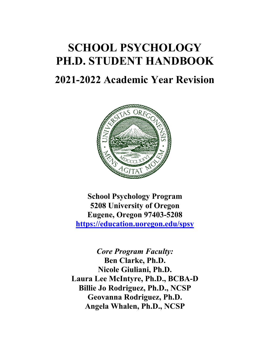# **SCHOOL PSYCHOLOGY PH.D. STUDENT HANDBOOK**

# **2021-2022 Academic Year Revision**



**School Psychology Program 5208 University of Oregon Eugene, Oregon 97403-5208 <https://education.uoregon.edu/spsy>**

*Core Program Faculty:* **Ben Clarke, Ph.D. Nicole Giuliani, Ph.D. Laura Lee McIntyre, Ph.D., BCBA-D Billie Jo Rodriguez, Ph.D., NCSP Geovanna Rodriguez, Ph.D. Angela Whalen, Ph.D., NCSP**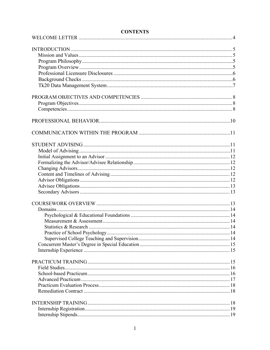# **CONTENTS**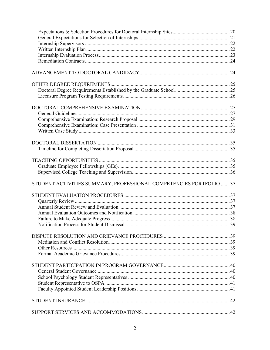| STUDENT ACTIVITIES SUMMARY, PROFESSIONAL COMPETENCIES PORTFOLIO  37 |  |
|---------------------------------------------------------------------|--|
|                                                                     |  |
|                                                                     |  |
|                                                                     |  |
|                                                                     |  |
|                                                                     |  |
|                                                                     |  |
|                                                                     |  |
|                                                                     |  |
|                                                                     |  |
|                                                                     |  |
|                                                                     |  |
|                                                                     |  |
|                                                                     |  |
|                                                                     |  |
|                                                                     |  |
|                                                                     |  |
|                                                                     |  |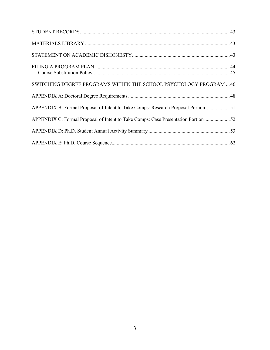| SWITCHING DEGREE PROGRAMS WITHIN THE SCHOOL PSYCHOLOGY PROGRAM  46                 |  |
|------------------------------------------------------------------------------------|--|
|                                                                                    |  |
| APPENDIX B: Formal Proposal of Intent to Take Comps: Research Proposal Portion51   |  |
| APPENDIX C: Formal Proposal of Intent to Take Comps: Case Presentation Portion  52 |  |
|                                                                                    |  |
|                                                                                    |  |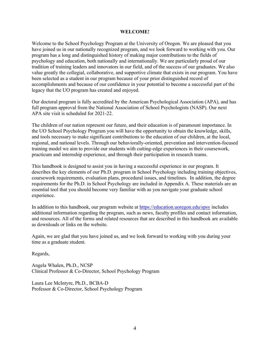#### **WELCOME!**

Welcome to the School Psychology Program at the University of Oregon. We are pleased that you have joined us in our nationally recognized program, and we look forward to working with you. Our program has a long and distinguished history of making major contributions to the fields of psychology and education, both nationally and internationally. We are particularly proud of our tradition of training leaders and innovators in our field, and of the success of our graduates. We also value greatly the collegial, collaborative, and supportive climate that exists in our program. You have been selected as a student in our program because of your prior distinguished record of accomplishments and because of our confidence in your potential to become a successful part of the legacy that the UO program has created and enjoyed.

Our doctoral program is fully accredited by the American Psychological Association (APA), and has full program approval from the National Association of School Psychologists (NASP). Our next APA site visit is scheduled for 2021-22.

The children of our nation represent our future, and their education is of paramount importance. In the UO School Psychology Program you will have the opportunity to obtain the knowledge, skills, and tools necessary to make significant contributions to the education of our children, at the local, regional, and national levels. Through our behaviorally-oriented, prevention and intervention-focused training model we aim to provide our students with cutting-edge experiences in their coursework, practicum and internship experience, and through their participation in research teams.

This handbook is designed to assist you in having a successful experience in our program. It describes the key elements of our Ph.D. program in School Psychology including training objectives, coursework requirements, evaluation plans, procedural issues, and timelines. In addition, the degree requirements for the Ph.D. in School Psychology are included in Appendix A. These materials are an essential tool that you should become very familiar with as you navigate your graduate school experience.

In addition to this handbook, our program website at<https://education.uoregon.edu/spsy> includes additional information regarding the program, such as news, faculty profiles and contact information, and resources. All of the forms and related resources that are described in this handbook are available as downloads or links on the website.

Again, we are glad that you have joined us, and we look forward to working with you during your time as a graduate student.

Regards,

Angela Whalen, Ph.D., NCSP Clinical Professor & Co-Director, School Psychology Program

Laura Lee McIntyre, Ph.D., BCBA-D Professor & Co-Director, School Psychology Program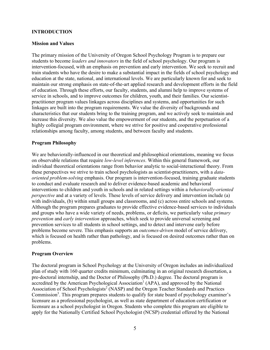# **INTRODUCTION**

#### **Mission and Values**

The primary mission of the University of Oregon School Psychology Program is to prepare our students to become *leaders and innovators* in the field of school psychology. Our program is intervention-focused, with an emphasis on prevention and early intervention. We seek to recruit and train students who have the desire to make a substantial impact in the fields of school psychology and education at the state, national, and international levels. We are particularly known for and seek to maintain our strong emphasis on state-of-the-art applied research and development efforts in the field of education. Through these efforts, our faculty, students, and alumni help to improve systems of service in schools, and to improve outcomes for children, youth, and their families. Our scientistpractitioner program values linkages across disciplines and systems, and opportunities for such linkages are built into the program requirements. We value the diversity of backgrounds and characteristics that our students bring to the training program, and we actively seek to maintain and increase this diversity. We also value the empowerment of our students, and the perpetuation of a highly collegial program environment, where we strive for positive and cooperative professional relationships among faculty, among students, and between faculty and students.

#### **Program Philosophy**

We are behaviorally-influenced in our theoretical and philosophical orientations, meaning we focus on observable relations that require *low-level inferences*. Within this general framework, our individual theoretical orientations range from behavior analytic to social-interactional theory. From these perspectives we strive to train school psychologists as scientist-practitioners, with a *dataoriented problem-solving* emphasis. Our program is intervention-focused, training graduate students to conduct and evaluate research and to deliver evidence-based academic and behavioral interventions to children and youth in schools and in related settings within a *behaviorally-oriented perspective* and at a variety of levels. These levels of service delivery and intervention include (a) with individuals, (b) within small groups and classrooms, and (c) across entire schools and systems. Although the program prepares graduates to provide effective evidence-based services to individuals and groups who have a wide variety of needs, problems, or deficits, we particularly value *primary prevention* and *early intervention* approaches, which seek to provide universal screening and prevention services to all students in school settings, and to detect and intervene early before problems become severe. This emphasis supports an *outcomes-driven* model of service delivery, which is focused on health rather than pathology, and is focused on desired outcomes rather than on problems.

# **[Program Overview](file:///C:%5CUsers%5CLaura%20Lee%20McIntyre%5CDocuments%5CProfessional%5CUO%5CLocal%20Settings%5CTemporary%20Internet%20Files%5CContent.IE5%5CLocal%20Settings%5CTemporary%20Internet%20Files%5CContent.Outlook%5CLocal%20Settings%5CLocal%20Settings%5CTemporary%20Internet%20Files%5CAppData%5CLocal%5CMicrosoft%5CWindows%5CTemporary%20Internet%20Files%5CLow%5CContent.IE5%5CLocal%20Settings%5CLocal%20Settings%5CTemporary%20Internet%20Files%5CLocal%20Settings%5CTemporary%20Internet%20Files%5CLocal%20Settings%5CLocal%20Settings%5CAppData%5CLocal%5CLocal%20Settings%5CTemporary%20Internet%20Files%5CLocal%20Settings%5CTemporary%20Internet%20Files%5CContent.IE5%5CLocal%20Settings%5Cprogram%20files%5Cqualcomm%5Ceudora%20mail%5CLocal%20Settings%5CTemporary%20Internet%20Files%5Cprogram%20files%5Cqualcomm%5Ceudora%20mail%5CMy%20Documents%5CMyFiles%5Cschool%20psychology%20program%5Cspsy%20web%20pages%5Cspsy%20grad%20handbook%5Chandbook%20.htm#Program_Overview#Program_Overview)**

The doctoral program in School Psychology at the University of Oregon includes an individualized plan of study with 160 quarter credits minimum, culminating in an original research dissertation, a pre-doctoral internship, and the Doctor of Philosophy (Ph.D.) degree. The doctoral program is accredited by the American Psychological Association<sup>1</sup> (APA), and approved by the National Association of School Psychologists<sup>2</sup> (NASP) and the Oregon Teacher Standards and Practices Commission<sup>3</sup>. This program prepares students to qualify for state board of psychology examiner's licensure as a professional psychologist, as well as state department of education certification or licensure as a school psychologist in Oregon. Students who complete this program are eligible to apply for the Nationally Certified School Psychologist (NCSP) credential offered by the National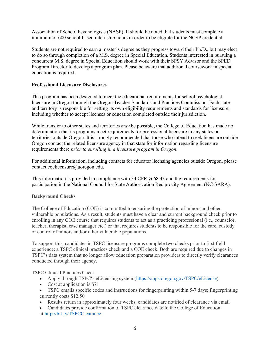Association of School Psychologists (NASP). It should be noted that students must complete a minimum of 600 school-based internship hours in order to be eligible for the NCSP credential.

Students are not required to earn a master's degree as they progress toward their Ph.D., but may elect to do so through completion of a M.S. degree in Special Education. Students interested in pursuing a concurrent M.S. degree in Special Education should work with their SPSY Advisor and the SPED Program Director to develop a program plan. Please be aware that additional coursework in special education is required.

# **Professional Licensure Disclosures**

This program has been designed to meet the educational requirements for school psychologist licensure in Oregon through the Oregon Teacher Standards and Practices Commission. Each state and territory is responsible for setting its own eligibility requirements and standards for licensure, including whether to accept licenses or education completed outside their jurisdiction.

While transfer to other states and territories *may* be possible, the College of Education has made no determination that its programs meet requirements for professional licensure in any states or territories outside Oregon. It is strongly recommended that those who intend to seek licensure outside Oregon contact the related licensure agency in that state for information regarding licensure requirements there *prior to enrolling in a licensure program in Oregon*.

For additional information, including contacts for educator licensing agencies outside Oregon, please contact coelicensure@uoregon.edu.

This information is provided in compliance with 34 CFR §668.43 and the requirements for participation in the National Council for State Authorization Reciprocity Agreement (NC-SARA).

# **Background Checks**

The College of Education (COE) is committed to ensuring the protection of minors and other vulnerable populations. As a result, students must have a clear and current background check prior to enrolling in any COE course that requires students to act as a practicing professional (i.e., counselor, teacher, therapist, case manager etc.) or that requires students to be responsible for the care, custody or control of minors and/or other vulnerable populations.

To support this, candidates in TSPC licensure programs complete two checks prior to first field experience: a TSPC clinical practices check and a COE check. Both are required due to changes in TSPC's data system that no longer allow education preparation providers to directly verify clearances conducted through their agency.

TSPC Clinical Practices Check

- Apply through TSPC's eLicensing system [\(https://apps.oregon.gov/TSPC/eLicense\)](https://apps.oregon.gov/TSPC/eLicense)
- Cost at application is \$71
- TSPC emails specific codes and instructions for fingerprinting within 5-7 days; fingerprinting currently costs \$12.50
- Results return in approximately four weeks; candidates are notified of clearance via email
- Candidates provide confirmation of TSPC clearance date to the College of Education at <http://bit.ly/TSPCClearance>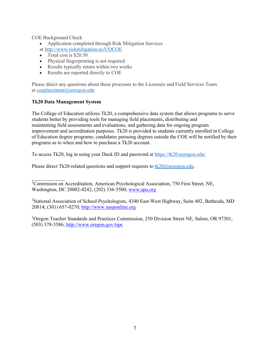COE Background Check

- Application completed through Risk Mitigation Services
- at <http://www.riskmitigation.us/UOCOE>
- Total cost is \$20.50
- Physical fingerprinting is not required
- Results typically return within two weeks
- Results are reported directly to COE

Please direct any questions about these processes to the Licensure and Field Services Team at [coeplacement@uoregon.edu](mailto:coeplacement@uoregon.edu)

# **Tk20 Data Management System**

The College of Education utilizes Tk20, a comprehensive data system that allows programs to serve students better by providing tools for managing field placements, distributing and maintaining field assessments and evaluations, and gathering data for ongoing program improvement and accreditation purposes. Tk20 is provided to students currently enrolled in College of Education degree programs; candidates pursuing degrees outside the COE will be notified by their programs as to when and how to purchase a Tk20 account.

To access Tk20, log in using your Duck ID and password at <https://tk20.uoregon.edu/>

Please direct Tk20-related questions and support requests to  $tk20@$ uoregon.edu.

 $\mathcal{L}=\mathcal{L}$ <sup>1</sup>Commision on Accreditation, American Psychological Association, 750 First Street, NE, Washington, DC 20002-4242; (202) 336-5500; [www.apa.org](http://www.apa.org/)

<sup>2</sup>National Association of School Psychologists, 4340 East-West Highway, Suite 402, Bethesda, MD 20814; (301) 657-0270; [http://www.nasponline.org](http://www.nasponline.org/)

<sup>3</sup>Oregon Teacher Standards and Practices Commission, 250 Division Street NE, Salem, OR 97301; (503) 378-3586;<http://www.oregon.gov/tspc>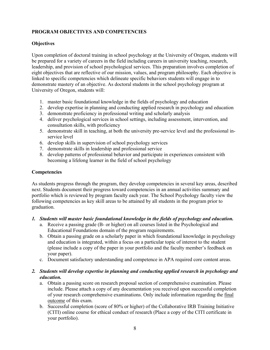# **PROGRAM OBJECTIVES AND COMPETENCIES**

# **Objectives**

Upon completion of doctoral training in school psychology at the University of Oregon, students will be prepared for a variety of careers in the field including careers in university teaching, research, leadership, and provision of school psychological services. This preparation involves completion of eight objectives that are reflective of our mission, values, and program philosophy. Each objective is linked to specific competencies which delineate specific behaviors students will engage in to demonstrate mastery of an objective. As doctoral students in the school psychology program at University of Oregon, students will:

- 1. master basic foundational knowledge in the fields of psychology and education
- 2. develop expertise in planning and conducting applied research in psychology and education
- 3. demonstrate proficiency in professional writing and scholarly analysis
- 4. deliver psychological services in school settings, including assessment, intervention, and consultation skills, with proficiency
- 5. demonstrate skill in teaching, at both the university pre-service level and the professional inservice level
- 6. develop skills in supervision of school psychology services
- 7. demonstrate skills in leadership and professional service
- 8. develop patterns of professional behavior and participate in experiences consistent with becoming a lifelong learner in the field of school psychology

# **Competencies**

As students progress through the program, they develop competencies in several key areas, described next. Students document their progress toward competencies in an annual activities summary and portfolio which is reviewed by program faculty each year. The School Psychology faculty view the following competencies as key skill areas to be attained by all students in the program prior to graduation.

# *1. Students will master basic foundational knowledge in the fields of psychology and education.*

- a. Receive a passing grade (B- or higher) on all courses listed in the Psychological and Educational Foundations domain of the program requirements.
- b. Obtain a passing grade on a scholarly paper in which foundational knowledge in psychology and education is integrated, within a focus on a particular topic of interest to the student (please include a copy of the paper in your portfolio and the faculty member's feedback on your paper).
- c. Document satisfactory understanding and competence in APA required core content areas.

# *2. Students will develop expertise in planning and conducting applied research in psychology and education.*

- a. Obtain a passing score on research proposal section of comprehensive examination. Please include. Please attach a copy of any documentation you received upon successful completion of your research comprehensive examinations. Only include information regarding the final outcome of this exam.
- b. Successful completion (score of 80% or higher) of the Collaborative IRB Training Initiative (CITI) online course for ethical conduct of research (Place a copy of the CITI certificate in your portfolio).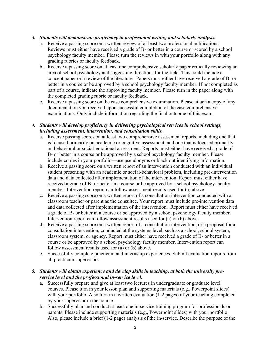# *3. Students will demonstrate proficiency in professional writing and scholarly analysis.*

- a. Receive a passing score on a written review of at least two professional publications. Reviews must either have received a grade of B- or better in a course or scored by a school psychology faculty member. Please turn the reviews in with your portfolio along with any grading rubrics or faculty feedback.
- b. Receive a passing score on at least one comprehensive scholarly paper critically reviewing an area of school psychology and suggesting directions for the field. This could include a concept paper or a review of the literature. Papers must either have received a grade of B- or better in a course or be approved by a school psychology faculty member. If not completed as part of a course, indicate the approving faculty member. Please turn in the paper along with the completed grading rubric or faculty feedback.
- c. Receive a passing score on the case comprehensive examination. Please attach a copy of any documentation you received upon successful completion of the case comprehensive examinations. Only include information regarding the final outcome of this exam.

# *4. Students will develop proficiency in delivering psychological services in school settings, including assessment, intervention, and consultation skills.*

- a. Receive passing scores on at least two comprehensive assessment reports, including one that is focused primarily on academic or cognitive assessment, and one that is focused primarily on behavioral or social-emotional assessment. Reports must either have received a grade of B- or better in a course or be approved by a school psychology faculty member. Please include copies in your portfolio—use pseudonyms or black out identifying information.
- b. Receive a passing score on a written report of an intervention conducted with an individual student presenting with an academic or social-behavioral problem, including pre-intervention data and data collected after implementation of the intervention. Report must either have received a grade of B- or better in a course or be approved by a school psychology faculty member. Intervention report can follow assessment results used for (a) above.
- c. Receive a passing score on a written report of a consultation intervention conducted with a classroom teacher or parent as the consultee. Your report must include pre-intervention data and data collected after implementation of the intervention. Report must either have received a grade of B- or better in a course or be approved by a school psychology faculty member. Intervention report can follow assessment results used for (a) or (b) above.
- d. Receive a passing score on a written report of a consultation intervention, or a proposal for a consultation intervention, conducted at the systems level, such as a school, school system, classroom system, or agency. Report must either have received a grade of B- or better in a course or be approved by a school psychology faculty member. Intervention report can follow assessment results used for (a) or (b) above.
- e. Successfully complete practicum and internship experiences. Submit evaluation reports from all practicum supervisors.

# *5. Students will obtain experience and develop skills in teaching, at both the university preservice level and the professional in-service level.*

- a. Successfully prepare and give at least two lectures in undergraduate or graduate level courses. Please turn in your lesson plan and supporting materials (e.g., Powerpoint slides) with your portfolio. Also turn in a written evaluation (1-2 pages) of your teaching completed by your supervisor in the course.
- b. Successfully plan and conduct at least one in-service training program for professionals or parents. Please include supporting materials (e.g., Powerpoint slides) with your portfolio. Also, please include a brief (1-2 page) analysis of the in-service. Describe the purpose of the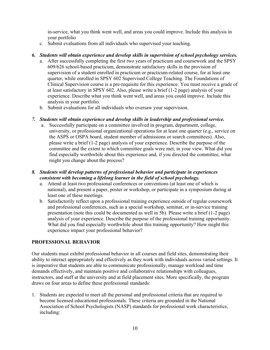in-service, what you think went well, and areas you could improve. Include this analysis in your portfolio

c. Submit evaluations from all individuals who supervised your teaching.

# *6. Students will obtain experience and develop skills in supervision of school psychology services.*

- a. After successfully completing the first two years of practicum and coursework and the SPSY 609/626 school-based practicum, demonstrate satisfactory skills in the provision of supervision of a student enrolled in practicum or practicum-related course, for at least one quarter, while enrolled in SPSY 602 Supervised College Teaching. The Foundations of Clinical Supervision course is a pre-requisite for this experience. You must receive a grade of at least satisfactory in SPSY 602. Also, please write a brief (1-2 page) analysis of your experience. Describe what you think went well, and areas you could improve. Include this analysis in your portfolio.
- b. Submit evaluations for all individuals who oversaw your supervision.

# *7. Students will obtain experience and develop skills in leadership and professional service.*

a. Successfully participate on a committee involved in program, department, college, university, or professional organizational operations for at least one quarter (e.g., service on the ASPS or OSPA board, student member of admissions or search committees). Also, please write a brief (1-2 page) analysis of your experience. Describe the purpose of the committee and the extent to which committee goals were met, in your view. What did you find especially worthwhile about this experience and, if you directed the committee, what might you change about the process?

# *8. Students will develop patterns of professional behavior and participate in experiences consistent with becoming a lifelong learner in the field of school psychology.*

- a. Attend at least two professional conferences or conventions (at least one of which is national), and present a paper, poster or workshop, or participate in a symposium during at least one of these meetings.
- b. Satisfactorily reflect upon a professional training experience outside of regular coursework and professional conferences, such as a special workshop, seminar, or in-service training presentation (note this could be documented as well in 5b). Please write a brief (1-2 page) analysis of your experience. Describe the purpose of the professional training opportunity. What did you find especially worthwhile about this training opportunity? How might this experience impact your professional behavior?

# **PROFESSIONAL BEHAVIOR**

Our students must exhibit professional behavior in all courses and field sites, demonstrating their ability to interact appropriately and effectively as they work with individuals across varied settings. It is imperative that students are able to communicate professionally, manage workload and time demands effectively, and maintain positive and collaborative relationships with colleagues, instructors, and staff at the university and at field placement sites. More specifically, the program draws on four areas to define these professional standards:

1. Students are expected to meet all the personal and professional criteria that are required to become licensed educational professionals. These criteria are grounded in the National Association of School Psychologists (NASP) standards for professional work characteristics, including: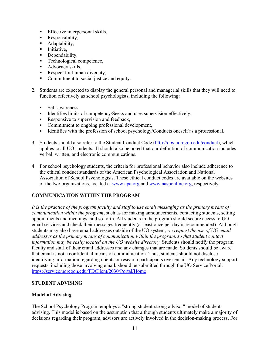- **Effective interpersonal skills,**
- Responsibility,
- **Adaptability,**
- **Initiative,**
- Dependability,
- **Technological competence,**
- Advocacy skills,
- Respect for human diversity,
- Commitment to social justice and equity.
- 2. Students are expected to display the general personal and managerial skills that they will need to function effectively as school psychologists, including the following:
	- Self-awareness,
	- Identifies limits of competency/Seeks and uses supervision effectively,
	- Responsive to supervision and feedback,
	- Commitment to ongoing professional development,
	- Identifies with the profession of school psychology/Conducts oneself as a professional.
- 3. Students should also refer to the [Student Conduct Code](http://www.uoregon.edu/%7Estl/code.htm) [\(http://dos.uoregon.edu/conduct\)](http://dos.uoregon.edu/conduct), which applies to all UO students. It should also be noted that our definition of communication includes verbal, written, and electronic communications.
- 4. For school psychology students, the criteria for professional behavior also include adherence to the ethical conduct standards of the American Psychological Association and National Association of School Psychologists. These ethical conduct codes are available on the websites of the two organizations, located at [www.apa.org](http://www.apa.org/) and [www.nasponline.org,](http://www.nasponline.org/) respectively.

# **COMMUNICATION WITHIN THE PROGRAM**

*It is the practice of the program faculty and staff to use email messaging as the primary means of communication within the program*, such as for making announcements, contacting students, setting appointments and meetings, and so forth. All students in the program should secure access to UO email services and check their messages frequently (at least once per day is recommended). Although students may also have email addresses outside of the UO system, *we request the use of UO email addresses as the primary means of communication within the program, so that student contact information may be easily located on the UO website directory*. Students should notify the program faculty and staff of their email addresses and any changes that are made. Students should be aware that email is not a confidential means of communication. Thus, students should not disclose identifying information regarding clients or research participants over email. Any technology support requests, including those involving email, should be submitted through the UO Service Portal: <https://service.uoregon.edu/TDClient/2030/Portal/Home>

# **STUDENT ADVISING**

# **Model of Advising**

The School Psychology Program employs a "strong student-strong advisor" model of student advising. This model is based on the assumption that although students ultimately make a majority of decisions regarding their program, advisors are actively involved in the decision-making process. For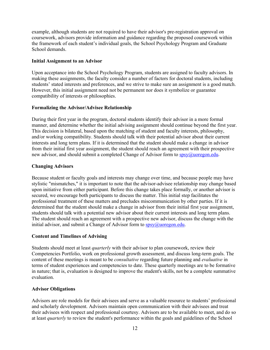example, although students are not required to have their advisor's pre-registration approval on coursework, advisors provide information and guidance regarding the proposed coursework within the framework of each student's individual goals, the School Psychology Program and Graduate School demands.

#### **Initial Assignment to an Advisor**

Upon acceptance into the School Psychology Program, students are assigned to faculty advisors. In making these assignments, the faculty consider a number of factors for doctoral students, including students' stated interests and preferences, and we strive to make sure an assignment is a good match. However, this initial assignment need not be permanent nor does it symbolize or guarantee compatibility of interests or philosophies.

#### **Formalizing the Advisor/Advisee Relationship**

During their first year in the program, doctoral students identify their advisor in a more formal manner, and determine whether the initial advising assignment should continue beyond the first year. This decision is bilateral, based upon the matching of student and faculty interests, philosophy, and/or working compatibility. Students should talk with their potential advisor about their current interests and long term plans. If it is determined that the student should make a change in advisor from their initial first year assignment, the student should reach an agreement with their prospective new advisor, and should submit a completed [Change of Advisor form](http://interact.uoregon.edu/pdf/sas/AChngAdvsr.pdf) to [spsy@uoregon.edu.](mailto:spsy@uoregon.edu)

#### **Changing Advisors**

Because student or faculty goals and interests may change over time, and because people may have stylistic "mismatches," it is important to note that the advisor-advisee relationship may change based upon initiative from either participant. Before this change takes place formally, or another advisor is secured, we encourage both participants to discuss the matter. This initial step facilitates the professional treatment of these matters and precludes miscommunication by other parties. If it is determined that the student should make a change in advisor from their initial first year assignment, students should talk with a potential new advisor about their current interests and long term plans. The student should reach an agreement with a prospective new advisor, discuss the change with the initial advisor, and submit a [Change of Advisor form](http://interact.uoregon.edu/pdf/sas/AChngAdvsr.pdf) to  $spsy(\omega)$ uoregon.edu.

# **Content and Timelines of Advising**

Students should meet at least *quarterly* with their advisor to plan coursework, review their Competencies Portfolio, work on professional growth assessment, and discuss long-term goals. The content of these meetings is meant to be *consultative* regarding future planning and *evaluative* in terms of student experiences and competencies to date. These quarterly meetings are to be formative in nature; that is, evaluation is designed to improve the student's skills, not be a complete summative evaluation.

#### **Advisor Obligations**

Advisors are role models for their advisees and serve as a valuable resource to students' professional and scholarly development. Advisors maintain open communication with their advisees and treat their advisees with respect and professional courtesy. Advisors are to be available to meet, and do so at least *quarterly* to review the student's performance within the goals and guidelines of the School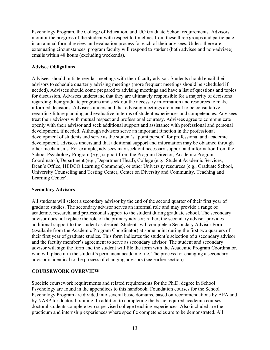Psychology Program, the College of Education, and UO Graduate School requirements. Advisors monitor the progress of the student with respect to timelines from these three groups and participate in an annual formal review and evaluation process for each of their advisees. Unless there are extenuating circumstances, program faculty will respond to student (both advisee and non-advisee) emails within 48 hours (excluding weekends).

# **Advisee Obligations**

Advisees should initiate regular meetings with their faculty advisor. Students should email their advisors to schedule quarterly advising meetings (more frequent meetings should be scheduled if needed). Advisees should come prepared to advising meetings and have a list of questions and topics for discussion. Advisees understand that they are ultimately responsible for a majority of decisions regarding their graduate programs and seek out the necessary information and resources to make informed decisions. Advisees understand that advising meetings are meant to be consultative regarding future planning and evaluative in terms of student experiences and competencies. Advisees treat their advisors with mutual respect and professional courtesy. Advisees agree to communicate openly with their advisor and seek additional support and assistance with professional and personal development, if needed. Although advisors serve an important function in the professional development of students and serve as the student's "point person" for professional and academic development, advisees understand that additional support and information may be obtained through other mechanisms. For example, advisees may seek out necessary support and information from the School Psychology Program (e.g., support from the Program Director, Academic Program Coordinator), Department (e.g., Department Head), College (e.g., Student Academic Services, Dean's Office, HEDCO Learning Commons), or other University resources (e.g., Graduate School, University Counseling and Testing Center, Center on Diversity and Community, Teaching and Learning Center).

# **Secondary Advisors**

All students will select a secondary advisor by the end of the second quarter of their first year of graduate studies. The secondary advisor serves an informal role and may provide a range of academic, research, and professional support to the student during graduate school. The secondary advisor does not replace the role of the primary advisor; rather, the secondary advisor provides additional support to the student as desired. Students will complete a Secondary Advisor Form (available from the Academic Program Coordinator) at some point during the first two quarters of their first year of graduate studies. This form indicates the student's selection of a secondary advisor and the faculty member's agreement to serve as secondary advisor. The student and secondary advisor will sign the form and the student will file the form with the Academic Program Coordinator, who will place it in the student's permanent academic file. The process for changing a secondary advisor is identical to the process of changing advisors (see earlier section).

# **COURSEWORK OVERVIEW**

Specific coursework requirements and related requirements for the Ph.D. degree in School Psychology are found in the appendices to this handbook. Foundation courses for the School Psychology Program are divided into several basic domains, based on recommendations by APA and by NASP for doctoral training. In addition to completing the basic required academic courses, doctoral students complete two supervised college teaching experiences. Also included are the practicum and internship experiences where specific competencies are to be demonstrated. All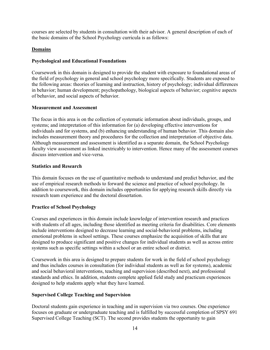courses are selected by students in consultation with their advisor. A general description of each of the basic domains of the School Psychology curricula is as follows:

# **Domains**

# **Psychological and Educational Foundations**

Coursework in this domain is designed to provide the student with exposure to foundational areas of the field of psychology in general and school psychology more specifically. Students are exposed to the following areas: theories of learning and instruction, history of psychology; individual differences in behavior; human development; psychopathology, biological aspects of behavior; cognitive aspects of behavior, and social aspects of behavior.

# **Measurement and Assessment**

The focus in this area is on the collection of systematic information about individuals, groups, and systems; and interpretation of this information for (a) developing effective interventions for individuals and for systems, and (b) enhancing understanding of human behavior. This domain also includes measurement theory and procedures for the collection and interpretation of objective data. Although measurement and assessment is identified as a separate domain, the School Psychology faculty view assessment as linked inextricably to intervention. Hence many of the assessment courses discuss intervention and vice-versa.

# **Statistics and Research**

This domain focuses on the use of quantitative methods to understand and predict behavior, and the use of empirical research methods to forward the science and practice of school psychology. In addition to coursework, this domain includes opportunities for applying research skills directly via research team experience and the doctoral dissertation.

# **Practice of School Psychology**

Courses and experiences in this domain include knowledge of intervention research and practices with students of all ages, including those identified as meeting criteria for disabilities. Core elements include interventions designed to decrease learning and social-behavioral problems, including emotional problems in school settings. These courses emphasize the acquisition of skills that are designed to produce significant and positive changes for individual students as well as across entire systems such as specific settings within a school or an entire school or district.

Coursework in this area is designed to prepare students for work in the field of school psychology and thus includes courses in consultation (for individual students as well as for systems), academic and social behavioral interventions, teaching and supervision (described next), and professional standards and ethics. In addition, students complete applied field study and practicum experiences designed to help students apply what they have learned.

# **Supervised College Teaching and Supervision**

Doctoral students gain experience in teaching and in supervision via two courses. One experience focuses on graduate or undergraduate teaching and is fulfilled by successful completion of SPSY 691 Supervised College Teaching (SCT). The second provides students the opportunity to gain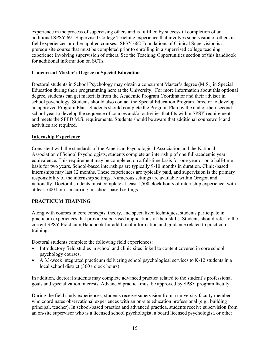experience in the process of supervising others and is fulfilled by successful completion of an additional SPSY 691 Supervised College Teaching experience that involves supervision of others in field experiences or other applied courses. SPSY 662 Foundations of Clinical Supervision is a prerequisite course that must be completed prior to enrolling in a supervised college teaching experience involving supervision of others. See the Teaching Opportunities section of this handbook for additional information on SCTs.

# **Concurrent Master's Degree in Special Education**

Doctoral students in School Psychology may obtain a concurrent Master's degree (M.S.) in Special Education during their programming here at the University. For more information about this optional degree, students can get materials from the Academic Program Coordinator and their advisor in school psychology. Students should also contact the Special Education Program Director to develop an approved Program Plan. Students should complete the Program Plan by the end of their second school year to develop the sequence of courses and/or activities that fits within SPSY requirements and meets the SPED M.S. requirements. Students should be aware that additional coursework and activities are required.

# **Internship Experience**

Consistent with the standards of the American Psychological Association and the National Association of School Psychologists, students complete an internship of one full-academic year equivalence. This requirement may be completed on a full-time basis for one year or on a half-time basis for two years. School-based internships are typically 9-10 months in duration. Clinic-based internships may last 12 months. These experiences are typically paid, and supervision is the primary responsibility of the internship settings. Numerous settings are available within Oregon and nationally. Doctoral students must complete at least 1,500 clock hours of internship experience, with at least 600 hours occurring in school-based settings.

# **PRACTICUM TRAINING**

Along with courses in core concepts, theory, and specialized techniques, students participate in practicum experiences that provide supervised applications of their skills. Students should refer to the current SPSY Practicum Handbook for additional information and guidance related to practicum training.

Doctoral students complete the following field experiences:

- Introductory field studies in school and clinic sites linked to content covered in core school psychology courses.
- A 33-week integrated practicum delivering school psychological services to K-12 students in a local school district (360+ clock hours).

In addition, doctoral students may complete advanced practica related to the student's professional goals and specialization interests. Advanced practica must be approved by SPSY program faculty.

During the field study experiences, students receive supervision from a university faculty member who coordinates observational experiences with an on-site education professional (e.g., building principal, teacher). In school-based practica and advanced practica, students receive supervision from an on-site supervisor who is a licensed school psychologist, a board licensed psychologist, or other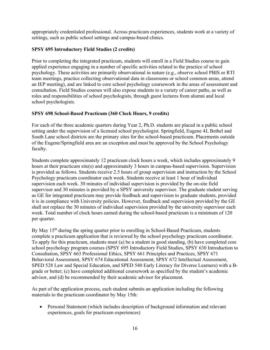appropriately credentialed professional. Across practicum experiences, students work at a variety of settings, such as public school settings and campus-based clinics.

# **SPSY 695 Introductory Field Studies (2 credits)**

Prior to completing the integrated practicum, students will enroll in a Field Studies course to gain applied experience engaging in a number of specific activities related to the practice of school psychology. These activities are primarily observational in nature (e.g., observe school PBIS or RTI team meetings, practice collecting observational data in classrooms or school common areas, attend an IEP meeting), and are linked to core school psychology coursework in the areas of assessment and consultation. Field Studies courses will also expose students to a variety of career paths, as well as roles and responsibilities of school psychologists, through guest lectures from alumni and local school psychologists.

# **SPSY 698 School-Based Practicum (360 Clock Hours, 9 credits)**

For each of the three academic quarters during Year 2, Ph.D. students are placed in a public school setting under the supervision of a licensed school psychologist. Springfield, Eugene 4J, Bethel and South Lane school districts are the primary sites for the school-based practicum. Placements outside of the Eugene/Springfield area are an exception and must be approved by the School Psychology faculty.

Students complete approximately 12 practicum clock hours a week, which includes approximately 9 hours at their practicum site(s) and approximately 3 hours in campus-based supervision. Supervision is provided as follows. Students receive 2.5 hours of group supervision and instruction by the School Psychology practicum coordinator each week. Students receive at least 1 hour of individual supervision each week. 30 minutes of individual supervision is provided by the on-site field supervisor and 30 minutes is provided by a SPSY university supervisor. The graduate student serving as GE for integrated practicum may provide feedback and supervision to graduate students, provided it is in compliance with University policies. However, feedback and supervision provided by the GE shall not replace the 30 minutes of individual supervision provided by the university supervisor each week. Total number of clock hours earned during the school-based practicum is a minimum of 120 per quarter.

By May 15<sup>th</sup> during the spring quarter prior to enrolling in School-Based Practicum, students complete a practicum application that is reviewed by the school psychology practicum coordinator. To apply for this practicum, students must (a) be a student in good standing, (b) have completed core school psychology program courses (SPSY 695 Introductory Field Studies, SPSY 630 Introduction to Consultation, SPSY 663 Professional Ethics, SPSY 661 Principles and Practices, SPSY 671 Behavioral Assessment, SPSY 674 Educational Assessment, SPSY 672 Intellectual Assessment, SPED 528 Law and Special Education, and SPED 540 Early Literacy for Diverse Learners) with a Bgrade or better; (c) have completed additional coursework as specified by the student's academic advisor, and (d) be recommended by their academic advisor for placement.

As part of the application process, each student submits an application including the following materials to the practicum coordinator by May 15th:

• Personal Statement (which includes description of background information and relevant experiences, goals for practicum experiences)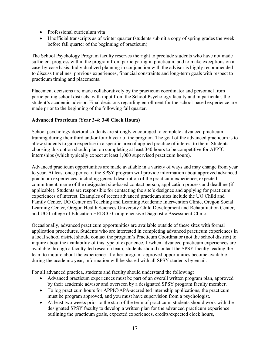- Professional curriculum vita
- Unofficial transcripts as of winter quarter (students submit a copy of spring grades the week before fall quarter of the beginning of practicum)

The School Psychology Program faculty reserves the right to preclude students who have not made sufficient progress within the program from participating in practicum, and to make exceptions on a case-by-case basis. Individualized planning in conjunction with the advisor is highly recommended to discuss timelines, previous experiences, financial constraints and long-term goals with respect to practicum timing and placements.

Placement decisions are made collaboratively by the practicum coordinator and personnel from participating school districts, with input from the School Psychology faculty and in particular, the student's academic advisor. Final decisions regarding enrollment for the school-based experience are made prior to the beginning of the following fall quarter.

# **Advanced Practicum (Year 3-4: 340 Clock Hours)**

School psychology doctoral students are strongly encouraged to complete advanced practicum training during their third and/or fourth year of the program. The goal of the advanced practicum is to allow students to gain expertise in a specific area of applied practice of interest to them. Students choosing this option should plan on completing at least 340 hours to be competitive for APPIC internships (which typically expect at least 1,000 supervised practicum hours).

Advanced practicum opportunities are made available in a variety of ways and may change from year to year. At least once per year, the SPSY program will provide information about approved advanced practicum experiences, including general description of the practicum experience, expected commitment, name of the designated site-based contact person, application process and deadline (if applicable). Students are responsible for contacting the site's designee and applying for practicum experiences of interest. Examples of recent advanced practicum sites include the UO Child and Family Center, UO Center on Teaching and Learning Academic Intervention Clinic, Oregon Social Learning Center, Oregon Health Sciences University Child Development and Rehabilitation Center, and UO College of Education HEDCO Comprehensive Diagnostic Assessment Clinic.

Occasionally, advanced practicum opportunities are available outside of these sites with formal application procedures. Students who are interested in completing advanced practicum experiences in a local school district should contact the program's Practicum Coordinator (not the school district) to inquire about the availability of this type of experience. If/when advanced practicum experiences are available through a faculty-led research team, students should contact the SPSY faculty leading the team to inquire about the experience. If other program-approved opportunities become available during the academic year, information will be shared with all SPSY students by email.

For all advanced practica, students and faculty should understand the following:

- Advanced practicum experiences must be part of an overall written program plan, approved by their academic advisor and overseen by a designated SPSY program faculty member.
- To log practicum hours for APPIC/APA-accredited internship applications, the practicum must be program approved, and you must have supervision from a psychologist.
- At least two weeks prior to the start of the term of practicum, students should work with the designated SPSY faculty to develop a written plan for the advanced practicum experience outlining the practicum goals, expected experiences, credits/expected clock hours,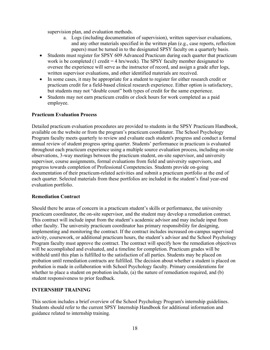supervision plan, and evaluation methods.

- a. Logs (including documentation of supervision), written supervisor evaluations, and any other materials specified in the written plan (e.g., case reports, reflection papers) must be turned in to the designated SPSY faculty on a quarterly basis.
- Students must register for SPSY 609 Advanced Practicum during each quarter that practicum work is be completed (1 credit = 4 hrs/week). The SPSY faculty member designated to oversee the experience will serve as the instructor of record, and assign a grade after logs, written supervisor evaluations, and other identified materials are received.
- In some cases, it may be appropriate for a student to register for either research credit or practicum credit for a field-based clinical research experience. Either option is satisfactory, but students may not "double count" both types of credit for the same experience.
- Students may not earn practicum credits or clock hours for work completed as a paid employee.

# **Practicum Evaluation Process**

Detailed practicum evaluation procedures are provided to students in the SPSY Practicum Handbook, available on the website or from the program's practicum coordinator. The School Psychology Program faculty meets quarterly to review and evaluate each student's progress and conduct a formal annual review of student progress spring quarter. Students' performance in practicum is evaluated throughout each practicum experience using a multiple source evaluation process, including on-site observations, 3-way meetings between the practicum student, on-site supervisor, and university supervisor, course assignments, formal evaluations from field and university supervisors, and progress towards completion of Professional Competencies. Students provide on-going documentation of their practicum-related activities and submit a practicum portfolio at the end of each quarter. Selected materials from these portfolios are included in the student's final year-end evaluation portfolio.

#### **Remediation Contract**

Should there be areas of concern in a practicum student's skills or performance, the university practicum coordinator, the on-site supervisor, and the student may develop a remediation contract. This contract will include input from the student's academic advisor and may include input from other faculty. The university practicum coordinator has primary responsibility for designing, implementing and monitoring the contract. If the contract includes increased on-campus supervised activity, coursework, or additional practicum hours, the student's advisor and the School Psychology Program faculty must approve the contract. The contract will specify how the remediation objectives will be accomplished and evaluated, and a timeline for completion. Practicum grades will be withheld until this plan is fulfilled to the satisfaction of all parties. Students may be placed on probation until remediation contracts are fulfilled. The decision about whether a student is placed on probation is made in collaboration with School Psychology faculty. Primary considerations for whether to place a student on probation include, (a) the nature of remediation required, and (b) student responsiveness to prior feedback.

#### **INTERNSHIP TRAINING**

This section includes a brief overview of the School Psychology Program's internship guidelines. Students should refer to the current SPSY Internship Handbook for additional information and guidance related to internship training.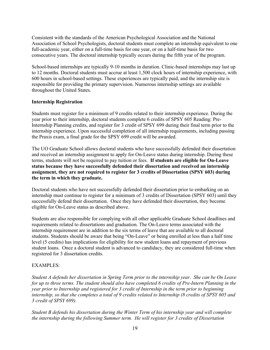Consistent with the standards of the American Psychological Association and the National Association of School Psychologists, doctoral students must complete an internship equivalent to one full-academic year, either on a full-time basis for one year, or on a half-time basis for two consecutive years. The doctoral internship typically occurs during the fifth year of the program.

School-based internships are typically 9-10 months in duration. Clinic-based internships may last up to 12 months. Doctoral students must accrue at least 1,500 clock hours of internship experience, with 600 hours in school-based settings. These experiences are typically paid, and the internship site is responsible for providing the primary supervision. Numerous internship settings are available throughout the United States.

# **Internship Registration**

Students must register for a minimum of 9 credits related to their internship experience. During the year prior to their internship, doctoral students complete 6 credits of SPSY 605 Reading: Pre-Internship Planning credits, and register for 3 credit of SPSY 699 during their final term prior to the internship experience. Upon successful completion of all internship requirements, including passing the Praxis exam, a final grade for the SPSY 699 credit will be awarded.

The UO Graduate School allows doctoral students who have successfully defended their dissertation and received an internship assignment to apply for On-Leave status during internship. During these terms, students will not be required to pay tuition or fees. **If students are eligible for On-Leave status because they have successfully defended their dissertation and received an internship assignment, they are not required to register for 3 credits of Dissertation (SPSY 603) during the term in which they graduate.** 

Doctoral students who have not successfully defended their dissertation prior to embarking on an internship must continue to register for a minimum of 3 credits of Dissertation (SPSY 603) until they successfully defend their dissertation. Once they have defended their dissertation, they become eligible for On-Leave status as described above.

Students are also responsible for complying with all other applicable Graduate School deadlines and requirements related to dissertations and graduation. The On-Leave terms associated with the internship requirement are in addition to the six terms of leave that are available to all doctoral students. Students should be aware that being "On-Leave" or being enrolled at less than a half time level (5 credits) has implications for eligibility for new student loans and repayment of previous student loans. Once a doctoral student is advanced to candidacy, they are considered full-time when registered for 3 dissertation credits.

# EXAMPLES:

*Student A defends her dissertation in Spring Term prior to the internship year. She can be On Leave for up to three terms. The student should also have completed 6 credits of Pre-Intern Planning in the year prior to Internship and registered for 3 credit of Internship in the term prior to beginning internship, so that she completes a total of 9 credits related to Internship (8 credits of SPSY 605 and 3 credit of SPSY 699).*

*Student B defends his dissertation during the Winter Term of his internship year and will complete the internship during the following Summer term. He will register for 3 credits of Dissertation*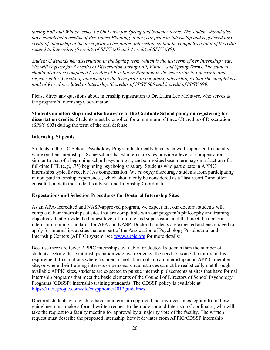*during Fall and Winter terms, be On Leave for Spring and Summer terms. The student should also have completed 6 credits of Pre-Intern Planning in the year prior to Internship and registered for3 credit of Internship in the term prior to beginning internship, so that he completes a total of 9 credits related to Internship (6 credits of SPSY 605 and 2 credit of SPSY 699).*

*Student C defends her dissertation in the Spring term, which is the last term of her Internship year. She will register for 3 credits of Dissertation during Fall, Winter, and Spring Terms. The student should also have completed 6 credits of Pre-Intern Planning in the year prior to Internship and registered for 3 credit of Internship in the term prior to beginning internship, so that she completes a total of 9 credits related to Internship (6 credits of SPSY 605 and 3 credit of SPSY 699).*

Please direct any questions about internship registration to Dr. Laura Lee McIntyre, who serves as the program's Internship Coordinator.

**Students on internship must also be aware of the Graduate School policy on registering for dissertation credits:** Students must be enrolled for a minimum of three (3) credits of Dissertation (SPSY 603) during the term of the oral defense.

#### **Internship Stipends**

Students in the UO School Psychology Program historically have been well supported financially while on their internships. Some school-based internship sites provide a level of compensation similar to that of a beginning school psychologist, and some sites base intern pay on a fraction of a full-time FTE (e.g., .75) beginning psychologist salary. Students who participate in APPIC internships typically receive less compensation. We *strongly* discourage students from participating in non-paid internship experiences, which should only be considered as a "last resort," and after consultation with the student's advisor and Internship Coordinator.

#### **Expectations and Selection Procedures for Doctoral Internship Sites**

As an APA-accredited and NASP-approved program, we expect that our doctoral students will complete their internships at sites that are compatible with our program's philosophy and training objectives, that provide the highest level of training and supervision, and that meet the doctoral internship training standards for APA and NASP. Doctoral students are expected and encouraged to apply for internships at sites that are part of the Association of Psychology Postdoctoral and Internship Centers (APPIC) system (see [www.appic.org](http://www.appic.org/) for more details).

Because there are fewer APPIC internships available for doctoral students than the number of students seeking these internships nationwide, we recognize the need for some flexibility in this requirement. In situations where a student is not able to obtain an internship at an APPIC-member site, or where their training interests or personal circumstances cannot be realistically met through available APPIC sites, students are expected to pursue internship placements at sites that have formal internship programs that meet the basic elements of the Council of Directors of School Psychology Programs (CDSSP) internship training standards. The CDSSP policy is available at [https://sites.google.com/site/cdspphome/2012guidelines.](https://sites.google.com/site/cdspphome/2012guidelines)

Doctoral students who wish to have an internship approved that involves an exception from these guidelines must make a formal written request to their advisor and Internship Coordinator, who will take the request to a faculty meeting for approval by a majority vote of the faculty. The written request must describe the proposed internship, how it deviates from APPIC/CDSSP internship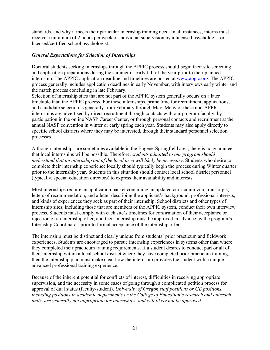standards, and why it meets their particular internship training need. In all instances, interns must receive a minimum of 2 hours per week of individual supervision by a licensed psychologist or licensed/certified school psychologist.

#### *General Expectations for Selection of Internships*

Doctoral students seeking internships through the APPIC process should begin their site screening and application preparations during the summer or early fall of the year prior to their planned internship. The APPIC application deadline and timelines are posted at [www.appic.org.](http://www.appic.org/) The APPIC process generally includes application deadlines in early November, with interviews early winter and the match process concluding in late February.

Selection of internship sites that are not part of the APPIC system generally occurs on a later timetable than the APPIC process. For these internships, prime time for recruitment, applications, and candidate selection is generally from February through May. Many of these non-APPIC internships are advertised by direct recruitment through contacts with our program faculty, by participation in the online NASP Career Center, or through personal contacts and recruitment at the annual NASP convention in winter or early spring each year. Students may also apply directly to specific school districts where they may be interested, through their standard personnel selection processes.

Although internships are sometimes available in the Eugene-Springfield area, there is no guarantee that local internships will be possible. Therefore, *students admitted to our program should understand that an internship out of the local area will likely be necessary*. Students who desire to complete their internship experience locally should typically begin the process during Winter quarter prior to the internship year. Students in this situation should contact local school district personnel (typically, special education directors) to express their availability and interests.

Most internships require an application packet containing an updated curriculum vita, transcripts, letters of recommendation, and a letter describing the applicant's background, professional interests, and kinds of experiences they seek as part of their internship. School districts and other types of internship sites, including those that are members of the APPIC system, conduct their own interview process. Students must comply with each site's timelines for confirmation of their acceptance or rejection of an internship offer, and their internship must be approved in advance by the program's Internship Coordinator, prior to formal acceptance of the internship offer.

The internship must be distinct and clearly unique from students' prior practicum and fieldwork experiences. Students are encouraged to pursue internship experiences in systems other than where they completed their practicum training requirements. If a student desires to conduct part or all of their internship within a local school district where they have completed prior practicum training, then the internship plan must make clear how the internship provides the student with a unique advanced professional training experience.

Because of the inherent potential for conflicts of interest, difficulties in receiving appropriate supervision, and the necessity in some cases of going through a complicated petition process for approval of dual status (faculty-student), *University of Oregon staff positions or GE positions, including positions in academic departments or the College of Education's research and outreach units, are generally not appropriate for internships, and will likely not be approved.*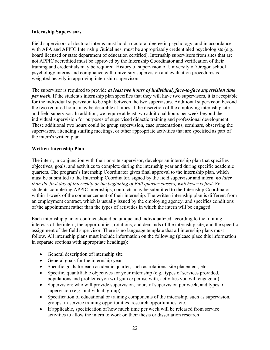# **Internship Supervisors**

Field supervisors of doctoral interns must hold a doctoral degree in psychology, and in accordance with APA and APPIC Internship Guidelines, must be appropriately credentialed psychologists (e.g., board licensed or state department of education certified). Internship supervisors from sites that are not APPIC accredited must be approved by the Internship Coordinator and verification of their training and credentials may be required. History of supervision of University of Oregon school psychology interns and compliance with university supervision and evaluation procedures is weighted heavily in approving internship supervisors.

The supervisor is required to provide *at least two hours of individual, face-to-face supervision time per week*. If the student's internship plan specifies that they will have two supervisors, it is acceptable for the individual supervision to be split between the two supervisors. Additional supervision beyond the two required hours may be desirable at times at the discretion of the employing internship site and field supervisor. In addition, we require at least two additional hours per week beyond the individual supervision for purposes of supervised didactic training and professional development. These additional two hours could be group supervision, case presentations, seminars, observing the supervisors, attending staffing meetings, or other appropriate activities that are specified as part of the intern's written plan.

# **Written Internship Plan**

The intern, in conjunction with their on-site supervisor, develops an internship plan that specifies objectives, goals, and activities to complete during the internship year and during specific academic quarters. The program's Internship Coordinator gives final approval to the internship plan, which must be submitted to the Internship Coordinator, signed by the field supervisor and intern, *no later than the first day of internship or the beginning of Fall quarter classes, whichever is first*. For students completing APPIC internships, contracts may be submitted to the Internship Coordinator within 1-week of the commencement of their internship. The written internship plan is different from an employment contract, which is usually issued by the employing agency, and specifies conditions of the appointment rather than the types of activities in which the intern will be engaged.

Each internship plan or contract should be unique and individualized according to the training interests of the intern, the opportunities, rotations, and demands of the internship site, and the specific assignment of the field supervisor. There is no language template that all internship plans must follow. All internship plans must include information on the following (please place this information in separate sections with appropriate headings):

- General description of internship site
- General goals for the internship year
- Specific goals for each academic quarter, such as rotations, site placement, etc.
- Specific, quantifiable objectives for your internship (e.g., types of services provided, populations and problems you will gain expertise with, activities you will engage in)
- Supervision; who will provide supervision, hours of supervision per week, and types of supervision (e.g., individual, group)
- Specification of educational or training components of the internship, such as supervision, groups, in-service training opportunities, research opportunities, etc.
- If applicable, specification of how much time per week will be released from service activities to allow the intern to work on their thesis or dissertation research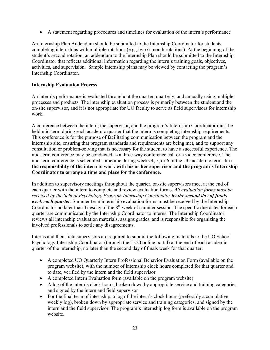• A statement regarding procedures and timelines for evaluation of the intern's performance

An Internship Plan Addendum should be submitted to the Internship Coordinator for students completing internships with multiple rotations (e.g., two 6-month rotations). At the beginning of the student's second rotation, an addendum to the Internship Plan should be submitted to the Internship Coordinator that reflects additional information regarding the intern's training goals, objectives, activities, and supervision. Sample internship plans may be viewed by contacting the program's Internship Coordinator.

# **Internship Evaluation Process**

An intern's performance is evaluated throughout the quarter, quarterly, and annually using multiple processes and products. The internship evaluation process is primarily between the student and the on-site supervisor, and it is not appropriate for UO faculty to serve as field supervisors for internship work.

A conference between the intern, the supervisor, and the program's Internship Coordinator must be held mid-term during each academic quarter that the intern is completing internship requirements. This conference is for the purpose of facilitating communication between the program and the internship site, ensuring that program standards and requirements are being met, and to support any consultation or problem-solving that is necessary for the student to have a successful experience. The mid-term conference may be conducted as a three-way conference call or a video conference. The mid-term conference is scheduled sometime during weeks 4, 5, or 6 of the UO academic term. **It is the responsibility of the intern to work with his or her supervisor and the program's Internship Coordinator to arrange a time and place for the conference.**

In addition to supervisory meetings throughout the quarter, on-site supervisors meet at the end of each quarter with the intern to complete and review evaluation forms. *All evaluation forms must be received by the School Psychology Program Internship Coordinator by the second day of finals week each quarter*. Summer term internship evaluation forms must be received by the Internship Coordinator no later than Tuesday of the  $8<sup>th</sup>$  week of summer session. The specific due dates for each quarter are communicated by the Internship Coordinator to interns. The Internship Coordinator reviews all internship evaluation materials, assigns grades, and is responsible for organizing the involved professionals to settle any disagreements.

Interns and their field supervisors are required to submit the following materials to the UO School Psychology Internship Coordinator (through the Tk20 online portal) at the end of each academic quarter of the internship, no later than the second day of finals week for that quarter:

- A completed UO Quarterly Intern Professional Behavior Evaluation Form (available on the program website), with the number of internship clock hours completed for that quarter and to date, verified by the intern and the field supervisor
- A completed Intern Evaluation form (available on the program website)
- A log of the intern's clock hours, broken down by appropriate service and training categories, and signed by the intern and field supervisor
- For the final term of internship, a log of the intern's clock hours (preferably a cumulative weekly log), broken down by appropriate service and training categories, and signed by the intern and the field supervisor. The program's internship log form is available on the program website.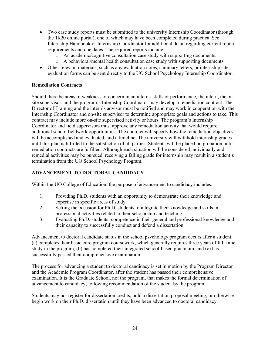- Two case study reports must be submitted to the university Internship Coordinator (through the Tk20 online portal), one of which may have been completed during practica. See Internship Handbook or Internship Coordinator for additional detail regarding current report requirements and due dates. The required reports include:
	- o An academic/cognitive consultation case study with supporting documents.
	- o A behavioral/mental health consultation case study with supporting documents.
- Other relevant materials, such as any evaluation notes, summary letters, or internship site evaluation forms can be sent directly to the UO School Psychology Internship Coordinator.

# **Remediation Contracts**

Should there be areas of weakness or concern in an intern's skills or performance, the intern, the onsite supervisor, and the program's Internship Coordinator may develop a remediation contract. The Director of Training and the intern's advisor must be notified and may work in cooperation with the Internship Coordinator and on-site supervisor to determine appropriate goals and actions to take. This contract may include more on-site supervised activity or hours. The program's Internship Coordinator and field supervisors must approve any remediation activity that would require additional school fieldwork opportunities. The contract will specify how the remediation objectives will be accomplished and evaluated, and a timeline. The university will withhold internship grades until this plan is fulfilled to the satisfaction of all parties. Students will be placed on probation until remediation contracts are fulfilled. Although each situation will be considered individually and remedial activities may be pursued, receiving a failing grade for internship may result in a student's termination from the UO School Psychology Program.

# **ADVANCEMENT TO DOCTORAL CANDIDACY**

Within the UO College of Education, the purpose of advancement to candidacy includes:

- 1. Providing Ph.D. students with an opportunity to demonstrate their knowledge and expertise in specific areas of study.
- 2. Setting the occasion for Ph.D. students to integrate their knowledge and skills in professional activities related to their scholarship and teaching.
- 3. Evaluating Ph.D. students' competence in their general and professional knowledge and their capacity to successfully conduct and defend a dissertation.

Advancement to doctoral candidate status in the school psychology program occurs after a student (a) completes their basic core program coursework, which generally requires three years of full-time study in the program, (b) has completed their integrated school-based practicum, and (c) has successfully passed their comprehensive examination.

The process for advancing a student to doctoral candidacy is set in motion by the Program Director and the Academic Program Coordinator, after the student has passed their comprehensive examination. It is the Graduate School, not the program, that makes the formal determination of advancement to candidacy, following recommendation of the student by the program.

Students may not register for dissertation credits, hold a dissertation proposal meeting, or otherwise begin work on their Ph.D. dissertation until they have been advanced to doctoral candidacy.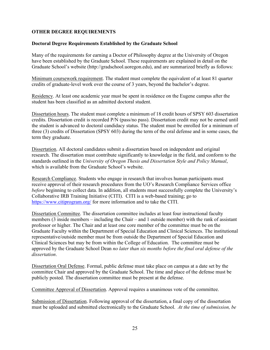# **OTHER DEGREE REQUIREMENTS**

#### **Doctoral Degree Requirements Established by the Graduate School**

Many of the requirements for earning a Doctor of Philosophy degree at the University of Oregon have been established by the Graduate School. These requirements are explained in detail on the Graduate School's website (http://gradschool.uoregon.edu), and are summarized briefly as follows:

Minimum coursework requirement. The student must complete the equivalent of at least 81 quarter credits of graduate-level work over the course of 3 years, beyond the bachelor's degree.

Residency. At least one academic year must be spent in residence on the Eugene campus after the student has been classified as an admitted doctoral student.

Dissertation hours. The student must complete a minimum of 18 credit hours of SPSY 603 dissertation credits. Dissertation credit is recorded P/N (pass/no pass). Dissertation credit may not be earned until the student is advanced to doctoral candidacy status. The student must be enrolled for a minimum of three (3) credits of Dissertation (SPSY 603) during the term of the oral defense and in some cases, the term they graduate.

Dissertation. All doctoral candidates submit a dissertation based on independent and original research. The dissertation must contribute significantly to knowledge in the field, and conform to the standards outlined in the *University of Oregon Thesis and Dissertation Style and Policy Manual*, which is available from the Graduate School's website.

Research Compliance. Students who engage in research that involves human participants must receive approval of their research procedures from the UO's Research Compliance Services office *before* beginning to collect data. In addition, all students must successfully complete the University's Collaborative IRB Training Initiative (CITI). CITI is a web-based training; go to <https://www.citiprogram.org/> for more information and to take the CITI.

Dissertation Committee. The dissertation committee includes at least four instructional faculty members (3 inside members – including the Chair – and 1 outside member) with the rank of assistant professor or higher. The Chair and at least one core member of the committee must be on the Graduate Faculty within the Department of Special Education and Clinical Sciences. The institutional representative/outside member must be from outside the Department of Special Education and Clinical Sciences but may be from within the College of Education. The committee must be approved by the Graduate School Dean *no later than six months before the final oral defense of the dissertation*.

Dissertation Oral Defense. Formal, public defense must take place on campus at a date set by the committee Chair and approved by the Graduate School. The time and place of the defense must be publicly posted. The dissertation committee must be present at the defense.

Committee Approval of Dissertation. Approval requires a unanimous vote of the committee.

Submission of Dissertation. Following approval of the dissertation, a final copy of the dissertation must be uploaded and submitted electronically to the Graduate School. *At the time of submission, be*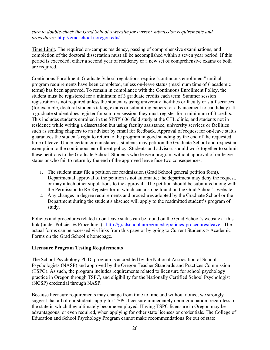*sure to double-check the Grad School's website for current submission requirements and procedures:* <http://gradschool.uoregon.edu/>

Time Limit. The required on-campus residency, passing of comprehensive examinations, and completion of the doctoral dissertation must all be accomplished within a seven year period. If this period is exceeded, either a second year of residency or a new set of comprehensive exams or both are required.

Continuous Enrollment. Graduate School regulations require "continuous enrollment" until all program requirements have been completed, unless on-leave status (maximum time of 6 academic terms) has been approved. To remain in compliance with the Continuous Enrollment Policy, the student must be registered for a minimum of 3 graduate credits each term. Summer session registration is not required unless the student is using university facilities or faculty or staff services (for example, doctoral students taking exams or submitting papers for advancement to candidacy). If a graduate student does register for summer session, they must register for a minimum of 3 credits. This includes students enrolled in the SPSY 606 field study at the CTL clinic, and students not in residence while writing a dissertation but using faculty assistance, university services or facilities such as sending chapters to an advisor by email for feedback. Approval of request for on-leave status guarantees the student's right to return to the program in good standing by the end of the requested time of leave. Under certain circumstances, students may petition the Graduate School and request an exemption to the continuous enrollment policy. Students and advisors should work together to submit these petitions to the Graduate School. Students who leave a program without approval of on-leave status or who fail to return by the end of the approved leave face two consequences:

- 1. The student must file a petition for readmission (Grad School general petition form). Departmental approval of the petition is not automatic; the department may deny the request, or may attach other stipulations to the approval. The petition should be submitted along with the Permission to Re-Register form, which can also be found on the Grad School's website.
- 2. Any changes in degree requirements and procedures adopted by the Graduate School or the Department during the student's absence will apply to the readmitted student's program of study.

Policies and procedures related to on-leave status can be found on the Grad School's website at this link (under Policies & Procedures): [http://gradschool.uoregon.edu/policies-procedures/leave.](http://gradschool.uoregon.edu/policies-procedures/leave) The actual forms can be accessed via links from this page or by going to Current Students > Academic Forms on the Grad School's homepage.

# **Licensure Program Testing Requirements**

The School Psychology Ph.D. program is accredited by the National Association of School Psychologists (NASP) and approved by the Oregon Teacher Standards and Practices Commission (TSPC). As such, the program includes requirements related to licensure for school psychology practice in Oregon through TSPC, and eligibility for the Nationally Certified School Psychologist (NCSP) credential through NASP.

Because licensure requirements may change from time to time and without notice, we strongly suggest that all of our students apply for TSPC licensure immediately upon graduation, regardless of the state in which they ultimately become employed. Having TSPC licensure in Oregon may be advantageous, or even required, when applying for other state licenses or credentials. The College of Education and School Psychology Program cannot make recommendations for out of state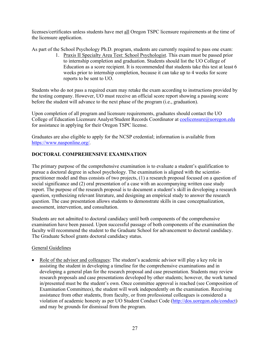licenses/certificates unless students have met all Oregon TSPC licensure requirements at the time of the licensure application.

As part of the School Psychology Ph.D. program, students are currently required to pass one exam:

1. Praxis II Specialty Area Test: School Psychologist. This exam must be passed prior to internship completion and graduation. Students should list the UO College of Education as a score recipient. It is recommended that students take this test at least 6 weeks prior to internship completion, because it can take up to 4 weeks for score reports to be sent to UO.

Students who do not pass a required exam may retake the exam according to instructions provided by the testing company. However, UO must receive an official score report showing a passing score before the student will advance to the next phase of the program (i.e., graduation).

Upon completion of all program and licensure requirements, graduates should contact the UO College of Education Licensure Analyst/Student Records Coordinator at [coelicensure@uoregon.edu](mailto:coelicensure@uoregon.edu) for assistance in applying for their Oregon TSPC license.

Graduates are also eligible to apply for the NCSP credential; information is available from [https://www.nasponline.org/.](https://www.nasponline.org/)

# **DOCTORAL COMPREHENSIVE EXAMINATION**

The primary purpose of the comprehensive examination is to evaluate a student's qualification to pursue a doctoral degree in school psychology. The examination is aligned with the scientistpractitioner model and thus consists of two projects, (1) a research proposal focused on a question of social significance and (2) oral presentation of a case with an accompanying written case study report. The purpose of the research proposal is to document a student's skill in developing a research question, synthesizing relevant literature, and designing an empirical study to answer the research question. The case presentation allows students to demonstrate skills in case conceptualization, assessment, intervention, and consultation.

Students are not admitted to doctoral candidacy until both components of the comprehensive examination have been passed. Upon successful passage of both components of the examination the faculty will recommend the student to the Graduate School for advancement to doctoral candidacy. The Graduate School grants doctoral candidacy status.

# General Guidelines

• Role of the advisor and colleagues: The student's academic advisor will play a key role in assisting the student in developing a timeline for the comprehensive examinations and in developing a general plan for the research proposal and case presentation. Students may review research proposals and case presentations developed by other students; however, the work turned in/presented must be the student's own. Once committee approval is reached (see Composition of Examination Committees), the student will work independently on the examination. Receiving assistance from other students, from faculty, or from professional colleagues is considered a violation of academic honesty as per UO Student Conduct Code [\(http://dos.uoregon.edu/conduct\)](http://dos.uoregon.edu/conduct) and may be grounds for dismissal from the program.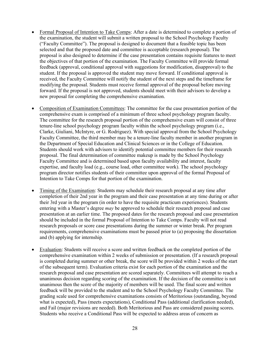- Formal Proposal of Intention to Take Comps: After a date is determined to complete a portion of the examination, the student will submit a written proposal to the School Psychology Faculty ("Faculty Committee"). The proposal is designed to document that a feasible topic has been selected and that the proposed date and committee is acceptable (research proposal). The proposal is also designed to determine if the case presentation contains requisite features to meet the objectives of that portion of the examination. The Faculty Committee will provide formal feedback (approval, conditional approval with suggestions for modification, disapproval) to the student. If the proposal is approved the student may move forward. If conditional approval is received, the Faculty Committee will notify the student of the next steps and the timeframe for modifying the proposal. Students must receive formal approval of the proposal before moving forward. If the proposal is not approved, students should meet with their advisors to develop a new proposal for completing the comprehensive examination.
- Composition of Examination Committees: The committee for the case presentation portion of the comprehensive exam is comprised of a minimum of three school psychology program faculty. The committee for the research proposal portion of the comprehensive exam will consist of three tenure-line school psychology program faculty within the school psychology program (i.e., Clarke, Giuliani, McIntyre, or G. Rodriguez). With special approval from the School Psychology Faculty Committee, the third member may be a tenure-line faculty member in another program in the Department of Special Education and Clinical Sciences or in the College of Education. Students should work with advisors to identify potential committee members for their research proposal. The final determination of committee makeup is made by the School Psychology Faculty Committee and is determined based upon faculty availability and interest, faculty expertise, and faculty load (e.g., course load, other committee work). The school psychology program director notifies students of their committee upon approval of the formal Proposal of Intention to Take Comps for that portion of the examination.
- Timing of the Examination: Students may schedule their research proposal at any time after completion of their 2nd year in the program and their case presentation at any time during or after their 3rd year in the program (in order to have the requisite practicum experiences). Students entering with a Master's degree *may* be approved to schedule their research proposal and case presentation at an earlier time. The proposed dates for the research proposal and case presentation should be included in the formal Proposal of Intention to Take Comps. Faculty will not read research proposals or score case presentations during the summer or winter break. Per program requirements, comprehensive examinations must be passed prior to (a) proposing the dissertation and (b) applying for internship.
- Evaluation: Students will receive a score and written feedback on the completed portion of the comprehensive examination within 2 weeks of submission or presentation. (If a research proposal is completed during summer or other break, the score will be provided within 2 weeks of the start of the subsequent term). Evaluation criteria exist for each portion of the examination and the research proposal and case presentation are scored separately. Committees will attempt to reach a unanimous decision regarding scoring of the examination. If the decision of the committee is not unanimous then the score of the majority of members will be used. The final score and written feedback will be provided to the student and to the School Psychology Faculty Committee. The grading scale used for comprehensive examinations consists of Meritorious (outstanding, beyond what is expected), Pass (meets expectations), Conditional Pass (additional clarification needed), and Fail (major revisions are needed). Both Meritorious and Pass are considered passing scores. Students who receive a Conditional Pass will be expected to address areas of concern as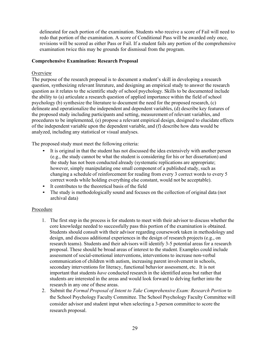delineated for each portion of the examination. Students who receive a score of Fail will need to redo that portion of the examination. A score of Conditional Pass will be awarded only once, revisions will be scored as either Pass or Fail. If a student fails any portion of the comprehensive examination twice this may be grounds for dismissal from the program.

# **Comprehensive Examination: Research Proposal**

#### **Overview**

The purpose of the research proposal is to document a student's skill in developing a research question, synthesizing relevant literature, and designing an empirical study to answer the research question as it relates to the scientific study of school psychology. Skills to be documented include the ability to (a) articulate a research question of applied importance within the field of school psychology (b) synthesize the literature to document the need for the proposed research, (c) delineate and operationalize the independent and dependent variables, (d) describe key features of the proposed study including participants and setting, measurement of relevant variables, and procedures to be implemented, (e) propose a relevant empirical design, designed to elucidate effects of the independent variable upon the dependent variable, and (f) describe how data would be analyzed, including any statistical or visual analyses.

The proposed study must meet the following criteria:

- It is original in that the student has not discussed the idea extensively with another person (e.g., the study cannot be what the student is considering for his or her dissertation) and the study has not been conducted already (systematic replications are appropriate; however, simply manipulating one small component of a published study, such as changing a schedule of reinforcement for reading from every 3 correct words to every 5 correct words while holding everything else constant, would not be acceptable).
- It contributes to the theoretical basis of the field
- The study is methodologically sound and focuses on the collection of original data (not archival data)

#### Procedure

- 1. The first step in the process is for students to meet with their advisor to discuss whether the core knowledge needed to successfully pass this portion of the examination is obtained. Students should consult with their advisor regarding coursework taken in methodology and design, and discuss additional experiences in the design of research projects (e.g., on research teams). Students and their advisors will identify 3-5 potential areas for a research proposal. These should be broad areas of interest to the student. Examples could include assessment of social-emotional interventions, interventions to increase non-verbal communication of children with autism, increasing parent involvement in schools, secondary interventions for literacy, functional behavior assessment, etc. It is not important that students *have* conducted research in the identified areas but rather that students are interested in the areas and would look forward to delving further into the research in any one of these areas.
- 2. Submit the *Formal Proposal of Intent to Take Comprehensive Exam: Research Portion* to the School Psychology Faculty Committee. The School Psychology Faculty Committee will consider advisor and student input when selecting a 3-person committee to score the research proposal.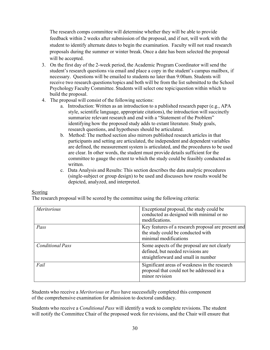The research comps committee will determine whether they will be able to provide feedback within 2 weeks after submission of the proposal, and if not, will work with the student to identify alternate dates to begin the examination. Faculty will not read research proposals during the summer or winter break. Once a date has been selected the proposal will be accepted.

- 3. On the first day of the 2-week period, the Academic Program Coordinator will send the student's research questions via email and place a copy in the student's campus mailbox, if necessary. Questions will be emailed to students no later than 9:00am. Students will receive two research questions/topics and both will be from the list submitted to the School Psychology Faculty Committee. Students will select one topic/question within which to build the proposal.
- 4. The proposal will consist of the following sections:
	- a. Introduction: Written as an introduction to a published research paper (e.g., APA style, scientific language, appropriate citations), the introduction will succinctly summarize relevant research and end with a "Statement of the Problem" identifying how the proposed study adds to extant literature. Study goals, research questions, and hypotheses should be articulated.
	- b. Method: The method section also mirrors published research articles in that participants and setting are articulated, the independent and dependent variables are defined, the measurement system is articulated, and the procedures to be used are clear. In other words, the student must provide details sufficient for the committee to gauge the extent to which the study could be feasibly conducted as written.
	- c. Data Analysis and Results: This section describes the data analytic procedures (single-subject or group design) to be used and discusses how results would be depicted, analyzed, and interpreted.

# Scoring

The research proposal will be scored by the committee using the following criteria:

| Meritorious             | Exceptional proposal, the study could be<br>conducted as designed with minimal or no<br>modifications.                   |
|-------------------------|--------------------------------------------------------------------------------------------------------------------------|
| Pass                    | Key features of a research proposal are present and<br>the study could be conducted with<br>minimal modifications        |
| <b>Conditional Pass</b> | Some aspects of the proposal are not clearly<br>defined, but needed revisions are<br>straightforward and small in number |
| Fail                    | Significant areas of weakness in the research<br>proposal that could not be addressed in a<br>minor revision             |

Students who receive a *Meritorious* or *Pass* have successfully completed this component of the comprehensive examination for admission to doctoral candidacy.

Students who receive a *Conditional Pass* will identify a week to complete revisions. The student will notify the Committee Chair of the proposed week for revisions, and the Chair will ensure that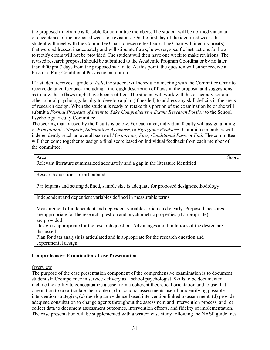the proposed timeframe is feasible for committee members. The student will be notified via email of acceptance of the proposed week for revisions. On the first day of the identified week, the student will meet with the Committee Chair to receive feedback. The Chair will identify area(s) that were addressed inadequately and will stipulate flaws; however, specific instructions for how to rectify errors will not be provided. The student will then have one week to make revisions. The revised research proposal should be submitted to the Academic Program Coordinator by no later than 4:00 pm 7 days from the proposed start date. At this point, the question will either receive a Pass or a Fail; Conditional Pass is not an option.

If a student receives a grade of *Fail*, the student will schedule a meeting with the Committee Chair to receive detailed feedback including a thorough description of flaws in the proposal and suggestions as to how these flaws might have been rectified. The student will work with his or her advisor and other school psychology faculty to develop a plan (if needed) to address any skill deficits in the areas of research design. When the student is ready to retake this portion of the examination he or she will submit a *Formal Proposal of Intent to Take Comprehensive Exam: Research Portion* to the School Psychology Faculty Committee.

The scoring matrix used by the faculty is below. For each area, individual faculty will assign a rating of *Exceptional, Adequate, Substantive Weakness,* or *Egregious Weakness*. Committee members will independently reach an overall score of *Meritorious, Pass, Conditional Pass,* or *Fail.* The committee will then come together to assign a final score based on individual feedback from each member of the committee.

| Area                                                                                                   | Score |
|--------------------------------------------------------------------------------------------------------|-------|
| Relevant literature summarized adequately and a gap in the literature identified                       |       |
| Research questions are articulated                                                                     |       |
| Participants and setting defined, sample size is adequate for proposed design/methodology              |       |
| Independent and dependent variables defined in measurable terms                                        |       |
| Measurement of independent and dependent variables articulated clearly. Proposed measures              |       |
| are appropriate for the research question and psychometric properties (if appropriate)<br>are provided |       |
| Design is appropriate for the research question. Advantages and limitations of the design are          |       |
| discussed                                                                                              |       |
| Plan for data analysis is articulated and is appropriate for the research question and                 |       |
| experimental design                                                                                    |       |

# **Comprehensive Examination: Case Presentation**

# **Overview**

The purpose of the case presentation component of the comprehensive examination is to document student skill/competence in service delivery as a school psychologist. Skills to be documented include the ability to conceptualize a case from a coherent theoretical orientation and to use that orientation to (a) articulate the problem, (b) conduct assessments useful in identifying possible intervention strategies, (c) develop an evidence-based intervention linked to assessment, (d) provide adequate consultation to change agents throughout the assessment and intervention process, and (e) collect data to document assessment outcomes, intervention effects, and fidelity of implementation. The case presentation will be supplemented with a written case study following the NASP guidelines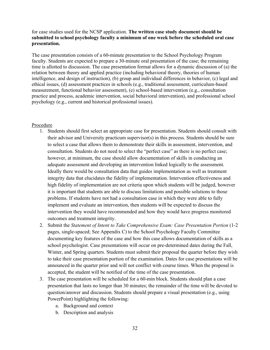for case studies used for the NCSP application. **The written case study document should be submitted to school psychology faculty a minimum of one week before the scheduled oral case presentation.**

The case presentation consists of a 60-minute presentation to the School Psychology Program faculty. Students are expected to prepare a 30-minute oral presentation of the case; the remaining time is allotted to discussion. The case presentation format allows for a dynamic discussion of (a) the relation between theory and applied practice (including behavioral theory, theories of human intelligence, and design of instruction), (b) group and individual differences in behavior, (c) legal and ethical issues, (d) assessment practices in schools (e.g., traditional assessment, curriculum-based measurement, functional behavior assessment), (e) school-based intervention (e.g., consultation practice and process, academic intervention, social behavioral intervention), and professional school psychology (e.g., current and historical professional issues).

#### Procedure

- 1. Students should first select an appropriate case for presentation. Students should consult with their advisor and University practicum supervisor(s) in this process. Students should be sure to select a case that allows them to demonstrate their skills in assessment, intervention, and consultation. Students do not need to select the "perfect case" as there is no perfect case; however, at minimum, the case should allow documentation of skills in conducting an adequate assessment and developing an intervention linked logically to the assessment. Ideally there would be consultation data that guides implementation as well as treatment integrity data that elucidates the fidelity of implementation. Intervention effectiveness and high fidelity of implementation are not criteria upon which students will be judged, however it is important that students are able to discuss limitations and possible solutions to those problems. If students have not had a consultation case in which they were able to fully implement and evaluate an intervention, then students will be expected to discuss the intervention they would have recommended and how they would have progress monitored outcomes and treatment integrity.
- 2. Submit the *Statement of Intent to Take Comprehensive Exam: Case Presentation Portion* (1-2 pages, single-spaced; See Appendix C) to the School Psychology Faculty Committee documenting key features of the case and how this case allows documentation of skills as a school psychologist. Case presentations will occur on pre-determined dates during the Fall, Winter, and Spring quarters. Students must submit their proposal the quarter before they wish to take their case presentation portion of the examination. Dates for case presentations will be announced in the quarter prior and will not conflict with course times. When the proposal is accepted, the student will be notified of the time of the case presentation.
- 3. The case presentation will be scheduled for a 60-min block. Students should plan a case presentation that lasts no longer than 30 minutes; the remainder of the time will be devoted to question/answer and discussion. Students should prepare a visual presentation (e.g., using PowerPoint) highlighting the following:
	- a. Background and context
	- b. Description and analysis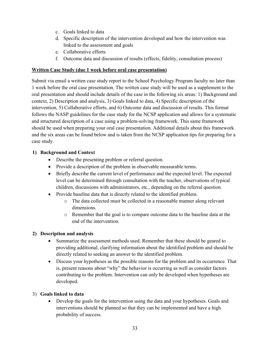- c. Goals linked to data
- d. Specific description of the intervention developed and how the intervention was linked to the assessment and goals
- e. Collaborative efforts
- f. Outcome data and discussion of results (effects, fidelity, consultation process)

# **Written Case Study (due 1 week before oral case presentation)**

Submit via email a written case study report to the School Psychology Program faculty no later than 1 week before the oral case presentation. The written case study will be used as a supplement to the oral presentation and should include details of the case in the following six areas: 1) Background and context, 2) Description and analysis, 3) Goals linked to data, 4) Specific description of the intervention, 5) Collaborative efforts, and 6) Outcome data and discussion of results. This format follows the NASP guidelines for the case study for the NCSP application and allows for a systematic and structured description of a case using a problem-solving framework. This same framework should be used when preparing your oral case presentation. Additional details about this framework and the six areas can be found below and is taken from the NCSP application tips for preparing for a case study.

# **1) Background and Context**

- Describe the presenting problem or referral question.
- Provide a description of the problem in observable measurable terms.
- Briefly describe the current level of performance and the expected level. The expected level can be determined through consultation with the teacher, observations of typical children, discussions with administrators, etc., depending on the referral question.
- Provide baseline data that is directly related to the identified problem.
	- o The data collected must be collected in a reasonable manner along relevant dimensions.
	- o Remember that the goal is to compare outcome data to the baseline data at the end of the intervention.

# **2) Description and analysis**

- Summarize the assessment methods used. Remember that these should be geared to providing additional, clarifying information about the identified problem and should be directly related to seeking an answer to the identified problem.
- Discuss your hypotheses as the possible reasons for the problem and its occurrence. That is, present reasons about "why" the behavior is occurring as well as consider factors contributing to the problem. Intervention can only be developed when hypotheses are developed.

# 3) **Goals linked to data**

• Develop the goals for the intervention using the data and your hypotheses. Goals and interventions should be planned so that they can be implemented and have a high probability of success.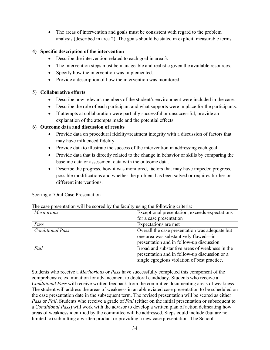• The areas of intervention and goals must be consistent with regard to the problem analysis (described in area 2). The goals should be stated in explicit, measurable terms.

# **4) Specific description of the intervention**

- Describe the intervention related to each goal in area 3.
- The intervention steps must be manageable and realistic given the available resources.
- Specify how the intervention was implemented.
- Provide a description of how the intervention was monitored.

# 5) **Collaborative efforts**

- Describe how relevant members of the student's environment were included in the case.
- Describe the role of each participant and what supports were in place for the participants.
- If attempts at collaboration were partially successful or unsuccessful, provide an explanation of the attempts made and the potential effects.

# 6) **Outcome data and discussion of results**

- Provide data on procedural fidelity/treatment integrity with a discussion of factors that may have influenced fidelity.
- Provide data to illustrate the success of the intervention in addressing each goal.
- Provide data that is directly related to the change in behavior or skills by comparing the baseline data or assessment data with the outcome data.
- Describe the progress, how it was monitored, factors that may have impeded progress, possible modifications and whether the problem has been solved or requires further or different interventions.

# Scoring of Oral Case Presentation

| The case presentation will be secred by the factory<br>ability forty will criteria. |                                                                                        |  |
|-------------------------------------------------------------------------------------|----------------------------------------------------------------------------------------|--|
| <i>Meritorious</i>                                                                  | Exceptional presentation, exceeds expectations                                         |  |
|                                                                                     | for a case presentation                                                                |  |
| Pass                                                                                | Expectations are met                                                                   |  |
| <b>Conditional Pass</b>                                                             | Overall the case presentation was adequate but<br>one area was substantively flawed—in |  |
|                                                                                     | presentation and in follow-up discussion                                               |  |
| Fail                                                                                | Broad and substantive areas of weakness in the                                         |  |
|                                                                                     | presentation and in follow-up discussion or a                                          |  |
|                                                                                     | single egregious violation of best practice.                                           |  |

The case presentation will be scored by the faculty using the following criteria:

Students who receive a *Meritorious* or *Pass* have successfully completed this component of the comprehensive examination for advancement to doctoral candidacy. Students who receive a *Conditional Pass* will receive written feedback from the committee documenting areas of weakness. The student will address the areas of weakness in an abbreviated case presentation to be scheduled on the case presentation date in the subsequent term. The revised presentation will be scored as either *Pass* or *Fail*. Students who receive a grade of *Fail* (either on the initial presentation or subsequent to a *Conditional Pass*) will work with the advisor to develop a written plan of action delineating how areas of weakness identified by the committee will be addressed. Steps could include (but are not limited to) submitting a written product or providing a new case presentation. The School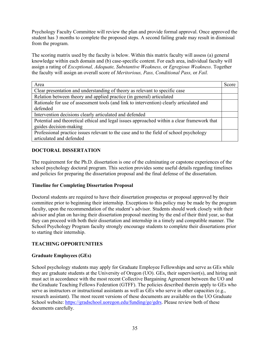Psychology Faculty Committee will review the plan and provide formal approval. Once approved the student has 3 months to complete the proposed steps. A second failing grade may result in dismissal from the program.

The scoring matrix used by the faculty is below. Within this matrix faculty will assess (a) general knowledge within each domain and (b) case-specific content. For each area, individual faculty will assign a rating of *Exceptional, Adequate, Substantive Weakness,* or *Egregious Weakness*. Together the faculty will assign an overall score of *Meritorious, Pass, Conditional Pass,* or *Fail.*

| Area                                                                                        | Score |
|---------------------------------------------------------------------------------------------|-------|
| Clear presentation and understanding of theory as relevant to specific case                 |       |
| Relation between theory and applied practice (in general) articulated                       |       |
| Rationale for use of assessment tools (and link to intervention) clearly articulated and    |       |
| defended                                                                                    |       |
| Intervention decisions clearly articulated and defended                                     |       |
| Potential and theoretical ethical and legal issues approached within a clear framework that |       |
| guides decision-making                                                                      |       |
| Professional practice issues relevant to the case and to the field of school psychology     |       |
| articulated and defended                                                                    |       |

# **DOCTORAL DISSERTATION**

The requirement for the Ph.D. dissertation is one of the culminating or capstone experiences of the school psychology doctoral program. This section provides some useful details regarding timelines and policies for preparing the dissertation proposal and the final defense of the dissertation.

# **Timeline for Completing Dissertation Proposal**

Doctoral students are required to have their dissertation prospectus or proposal approved by their committee prior to beginning their internship. Exceptions to this policy may be made by the program faculty, upon the recommendation of the student's advisor. Students should work closely with their advisor and plan on having their dissertation proposal meeting by the end of their third year, so that they can proceed with both their dissertation and internship in a timely and compatible manner. The School Psychology Program faculty strongly encourage students to complete their dissertations prior to starting their internship.

# **TEACHING OPPORTUNITIES**

# **Graduate Employees (GEs)**

School psychology students may apply for Graduate Employee Fellowships and serve as GEs while they are graduate students at the University of Oregon (UO). GEs, their supervisor(s), and hiring unit must act in accordance with the most recent Collective Bargaining Agreement between the UO and the Graduate Teaching Fellows Federation (GTFF). The policies described therein apply to GEs who serve as instructors or instructional assistants as well as GEs who serve in other capacities (e.g., research assistant). The most recent versions of these documents are available on the UO Graduate School website: [https://gradschool.uoregon.edu/funding/ge/gdrs.](https://gradschool.uoregon.edu/funding/ge/gdrs) Please review both of these documents carefully.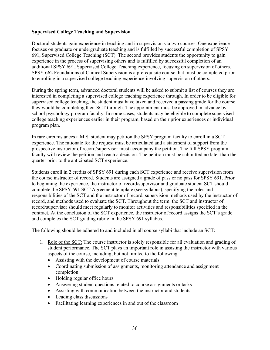# **Supervised College Teaching and Supervision**

Doctoral students gain experience in teaching and in supervision via two courses. One experience focuses on graduate or undergraduate teaching and is fulfilled by successful completion of SPSY 691, Supervised College Teaching (SCT). The second provides students the opportunity to gain experience in the process of supervising others and is fulfilled by successful completion of an additional SPSY 691, Supervised College Teaching experience, focusing on supervision of others. SPSY 662 Foundations of Clinical Supervision is a prerequisite course that must be completed prior to enrolling in a supervised college teaching experience involving supervision of others.

During the spring term, advanced doctoral students will be asked to submit a list of courses they are interested in completing a supervised college teaching experience through. In order to be eligible for supervised college teaching, the student must have taken and received a passing grade for the course they would be completing their SCT through. The appointment must be approved in advance by school psychology program faculty. In some cases, students may be eligible to complete supervised college teaching experiences earlier in their program, based on their prior experiences or individual program plan.

In rare circumstances a M.S. student may petition the SPSY program faculty to enroll in a SCT experience. The rationale for the request must be articulated and a statement of support from the prospective instructor of record/supervisor must accompany the petition. The full SPSY program faculty will review the petition and reach a decision. The petition must be submitted no later than the quarter prior to the anticipated SCT experience.

Students enroll in 2 credits of SPSY 691 during each SCT experience and receive supervision from the course instructor of record. Students are assigned a grade of pass or no pass for SPSY 691. Prior to beginning the experience, the instructor of record/supervisor and graduate student SCT should complete the SPSY 691 SCT Agreement template (see syllabus), specifying the roles and responsibilities of the SCT and the instructor of record, supervision methods used by the instructor of record, and methods used to evaluate the SCT. Throughout the term, the SCT and instructor of record/supervisor should meet regularly to monitor activities and responsibilities specified in the contract. At the conclusion of the SCT experience, the instructor of record assigns the SCT's grade and completes the SCT grading rubric in the SPSY 691 syllabus.

The following should be adhered to and included in all course syllabi that include an SCT:

- 1. Role of the SCT: The course instructor is solely responsible for all evaluation and grading of student performance. The SCT plays an important role in assisting the instructor with various aspects of the course, including, but not limited to the following:
	- Assisting with the development of course materials
	- Coordinating submission of assignments, monitoring attendance and assignment completion
	- Holding regular office hours
	- Answering student questions related to course assignments or tasks
	- Assisting with communication between the instructor and students
	- Leading class discussions
	- Facilitating learning experiences in and out of the classroom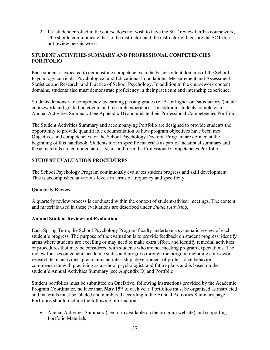2. If a student enrolled in the course does not wish to have the SCT review her/his coursework, s/he should communicate that to the instructor, and the instructor will ensure the SCT does not review her/his work.

# **STUDENT ACTIVITIES SUMMARY AND PROFESSIONAL COMPETENCIES PORTFOLIO**

Each student is expected to demonstrate competencies in the basic content domains of the School Psychology curricula: Psychological and Educational Foundations, Measurement and Assessment, Statistics and Research, and Practice of School Psychology. In addition to the coursework content domains, students also must demonstrate proficiency in their practicum and internship experience.

Students demonstrate competency by earning passing grades (of B- or higher or "satisfactory") in all coursework and graded practicum and research experiences. In addition, students complete an Annual Activities Summary (see Appendix D) and update their Professional Competencies Portfolio.

The Student Activities Summary and accompanying Portfolio are designed to provide students the opportunity to provide quantifiable documentation of how program objectives have been met. Objectives and competencies for the School Psychology Doctoral Program are defined at the beginning of this handbook. Students turn in specific materials as part of the annual summary and these materials are compiled across years and form the Professional Competencies Portfolio.

# **STUDENT EVALUATION PROCEDURES**

The School Psychology Program continuously evaluates student progress and skill development. This is accomplished at various levels in terms of frequency and specificity.

# **Quarterly Review**

A quarterly review process is conducted within the context of student-advisor meetings. The content and materials used in these evaluations are described under *Student Advising.*

# **Annual Student Review and Evaluation**

Each Spring Term, the School Psychology Program faculty undertake a systematic review of each student's progress. The purpose of the evaluation is to provide feedback on student progress, identify areas where students are excelling or may need to make extra effort, and identify remedial activities or procedures that may be considered with students who are not meeting program expectations. The review focuses on general academic status and progress through the program including coursework, research team activities, practicum and internship, development of professional behaviors commensurate with practicing as a school psychologist, and future plans and is based on the student's Annual Activities Summary (see Appendix D) and Portfolio.

Student portfolios must be submitted on OneDrive, following instructions provided by the Academic Program Coordinator, no later than **May 15th** of each year. Portfolios must be organized as instructed and materials must be labeled and numbered according to the Annual Activities Summary page. Portfolios should include the following information:

• Annual Activities Summary (see form available on the program website) and supporting Portfolio Materials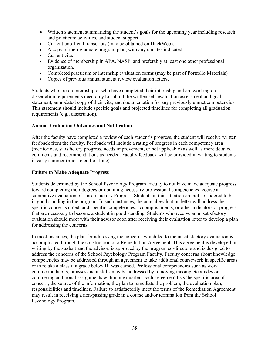- Written statement summarizing the student's goals for the upcoming year including research and practicum activities, and student support
- Current unofficial transcripts (may be obtained on [DuckWeb\)](https://duckweb.uoregon.edu/).
- A copy of their graduate program plan, with any updates indicated.
- Current vita.
- Evidence of membership in APA, NASP, and preferably at least one other professional organization.
- Completed practicum or internship evaluation forms (may be part of Portfolio Materials)
- Copies of previous annual student review evaluation letters.

Students who are on internship or who have completed their internship and are working on dissertation requirements need only to submit the written self-evaluation assessment and goal statement, an updated copy of their vita, and documentation for any previously unmet competencies. This statement should include specific goals and projected timelines for completing all graduation requirements (e.g., dissertation).

#### **Annual Evaluation Outcomes and Notification**

After the faculty have completed a review of each student's progress, the student will receive written feedback from the faculty. Feedback will include a rating of progress in each competency area (meritorious, satisfactory progress, needs improvement, or not applicable) as well as more detailed comments and recommendations as needed. Faculty feedback will be provided in writing to students in early summer (mid- to end-of-June).

#### **Failure to Make Adequate Progress**

Students determined by the School Psychology Program Faculty to not have made adequate progress toward completing their degrees or obtaining necessary professional competencies receive a summative evaluation of Unsatisfactory Progress. Students in this situation are not considered to be in good standing in the program. In such instances, the annual evaluation letter will address the specific concerns noted, and specific competencies, accomplishments, or other indicators of progress that are necessary to become a student in good standing. Students who receive an unsatisfactory evaluation should meet with their advisor soon after receiving their evaluation letter to develop a plan for addressing the concerns.

In most instances, the plan for addressing the concerns which led to the unsatisfactory evaluation is accomplished through the construction of a Remediation Agreement. This agreement is developed in writing by the student and the advisor, is approved by the program co-directors and is designed to address the concerns of the School Psychology Program Faculty. Faculty concerns about knowledge competencies may be addressed through an agreement to take additional coursework in specific areas or to retake a class if a grade below B- was earned. Professional competencies such as work completion habits, or assessment skills may be addressed by removing incomplete grades or completing additional assignments within one quarter. Each agreement lists the specific area of concern, the source of the information, the plan to remediate the problem, the evaluation plan, responsibilities and timelines. Failure to satisfactorily meet the terms of the Remediation Agreement may result in receiving a non-passing grade in a course and/or termination from the School Psychology Program.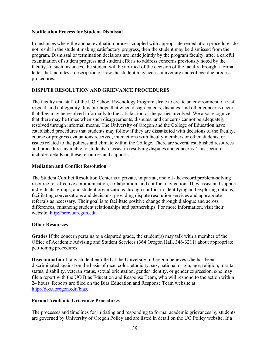# **Notification Process for Student Dismissal**

In instances where the annual evaluation process coupled with appropriate remediation procedures do not result in the student making satisfactory progress, then the student may be dismissed from the program. Dismissal or termination decisions are made jointly by the program faculty, after a careful examination of student progress and student efforts to address concerns previously noted by the faculty. In such instances, the student will be notified of the decision of the faculty through a formal letter that includes a description of how the student may access university and college due process procedures.

# **DISPUTE RESOLUTION AND GRIEVANCE PROCEDURES**

The faculty and staff of the UO School Psychology Program strive to create an environment of trust, respect, and collegiality. It is our hope that when disagreements, disputes, and other concerns occur, that they may be resolved informally to the satisfaction of the parties involved. We also recognize that there may be times when such disagreements, disputes, and concerns cannot be adequately resolved through informal means. The University of Oregon and the College of Education have established procedures that students may follow if they are dissatisfied with decisions of the faculty, course or progress evaluations received, interactions with faculty members or other students, or issues related to the policies and climate within the College. There are several established resources and procedures available to students to assist in resolving disputes and concerns. This section includes details on these resources and supports.

#### **Mediation and Conflict Resolution**

The Student Conflict Resolution Center is a private, impartial, and off-the-record problem-solving resource for effective communication, collaboration, and conflict navigation. They assist and support individuals, groups, and student organizations through conflict in identifying and exploring options, facilitating conversations and decisions, providing dispute resolution services and appropriate referrals as necessary. Their goal is to facilitate positive change through dialogue and across differences, enhancing student relationships and partnerships. For more information, visit their website: [http://scrc.uoregon.edu](http://scrc.uoregon.edu/)

# **Other Resources**

**Grades** If the concern pertains to a disputed grade, the student(s) may talk with a member of the Office of Academic Advising and Student Services (364 Oregon Hall, 346-3211) about appropriate petitioning procedures.

**Discrimination** If any student enrolled at the University of Oregon believes s/he has been discriminated against on the basis of race, color, ethnicity, sex, national origin, age, religion, marital status, disability, veteran status, sexual orientation, gender identity, or gender expression, s/he may file a report with the UO Bias Education and Response Team, who will respond to the action within 24 hours. Reports are filed on the Bias Education and Response Team website at [http://dos.uoregon.edu/bias.](http://dos.uoregon.edu/bias)

# **Formal Academic Grievance Procedures**

The processes and timelines for initiating and responding to formal academic grievances by students are governed by University of Oregon Policy and are listed in detail on the UO Policy website. If a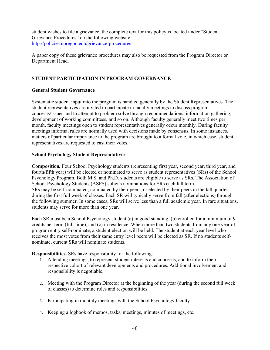student wishes to file a grievance, the complete text for this policy is located under "Student Grievance Procedures" on the following website: <http://policies.uoregon.edu/grievance-procedures>

A paper copy of these grievance procedures may also be requested from the Program Director or Department Head.

# **STUDENT PARTICIPATION IN PROGRAM GOVERNANCE**

# **General Student Governance**

Systematic student input into the program is handled generally by the Student Representatives. The student representatives are invited to participate in faculty meetings to discuss program concerns/issues and to attempt to problem solve through recommendations, information gathering, development of working committees, and so on. Although faculty generally meet two times per month, faculty meetings open to student representatives generally occur monthly. During faculty meetings informal rules are normally used with decisions made by consensus. In some instances, matters of particular importance to the program are brought to a formal vote, in which case, student representatives are requested to cast their votes.

# **School Psychology Student Representatives**

**Composition***.* Four School Psychology students (representing first year, second year, third year, and fourth/fifth year) will be elected or nominated to serve as student representatives (SRs) of the School Psychology Program. Both M.S. and Ph.D. students are eligible to serve as SRs. The Association of School Psychology Students (ASPS) solicits nominations for SRs each fall term. SRs may be self-nominated, nominated by their peers, or elected by their peers in the fall quarter during the first full week of classes. Each SR will typically serve from fall (after elections) through the following summer. In some cases, SRs will serve less than a full academic year. In rare situations, students may serve for more than one year.

Each SR must be a School Psychology student (a) in good standing, (b) enrolled for a minimum of 9 credits per term (full-time), and (c) in residence. When more than two students from any one year of program entry self-nominate, a student election will be held. The student at each year level who receives the most votes from their same entry level peers will be elected as SR. If no students selfnominate, current SRs will nominate students.

**Responsibilities.** SRs have responsibility for the following:

- 1. Attending meetings, to represent student interests and concerns, and to inform their respective cohort of relevant developments and procedures. Additional involvement and responsibility is negotiable.
- 2. Meeting with the Program Director at the beginning of the year (during the second full week of classes) to determine roles and responsibilities.
- 3. Participating in monthly meetings with the School Psychology faculty.
- 4. Keeping a logbook of memos, tasks, meetings, minutes of meetings, etc.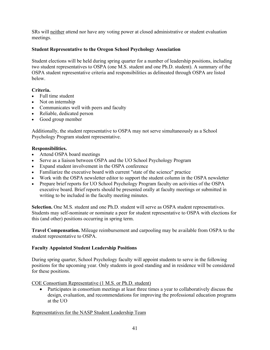SRs will neither attend nor have any voting power at closed administrative or student evaluation meetings.

# **Student Representative to the Oregon School Psychology Association**

Student elections will be held during spring quarter for a number of leadership positions, including two student representatives to OSPA (one M.S. student and one Ph.D. student). A summary of the OSPA student representative criteria and responsibilities as delineated through OSPA are listed below.

# **Criteria.**

- Full time student
- Not on internship
- Communicates well with peers and faculty
- Reliable, dedicated person
- Good group member

Additionally, the student representative to OSPA may not serve simultaneously as a School Psychology Program student representative.

# **Responsibilities.**

- Attend OSPA board meetings
- Serve as a liaison between OSPA and the UO School Psychology Program
- Expand student involvement in the OSPA conference
- Familiarize the executive board with current "state of the science" practice
- Work with the OSPA newsletter editor to support the student column in the OSPA newsletter
- Prepare brief reports for UO School Psychology Program faculty on activities of the OSPA executive board. Brief reports should be presented orally at faculty meetings or submitted in writing to be included in the faculty meeting minutes.

**Selection.** One M.S. student and one Ph.D. student will serve as OSPA student representatives. Students may self-nominate or nominate a peer for student representative to OSPA with elections for this (and other) positions occurring in spring term.

**Travel Compensation.** Mileage reimbursement and carpooling may be available from OSPA to the student representative to OSPA.

# **Faculty Appointed Student Leadership Positions**

During spring quarter, School Psychology faculty will appoint students to serve in the following positions for the upcoming year. Only students in good standing and in residence will be considered for these positions.

# COE Consortium Representative (1 M.S. or Ph.D. student)

• Participates in consortium meetings at least three times a year to collaboratively discuss the design, evaluation, and recommendations for improving the professional education programs at the UO

# Representatives for the NASP Student Leadership Team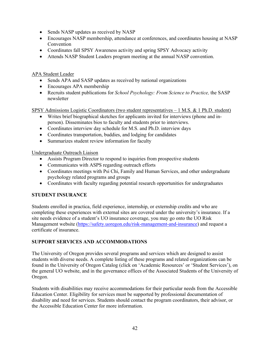- Sends NASP updates as received by NASP
- Encourages NASP membership, attendance at conferences, and coordinates housing at NASP Convention
- Coordinates fall SPSY Awareness activity and spring SPSY Advocacy activity
- Attends NASP Student Leaders program meeting at the annual NASP convention.

APA Student Leader

- Sends APA and SASP updates as received by national organizations
- Encourages APA membership
- Recruits student publications for *School Psychology: From Science to Practice,* the SASP newsletter

SPSY Admissions Logistic Coordinators (two student representatives – 1 M.S. & 1 Ph.D. student)

- Writes brief biographical sketches for applicants invited for interviews (phone and inperson). Disseminates bios to faculty and students prior to interviews.
- Coordinates interview day schedule for M.S. and Ph.D. interview days
- Coordinates transportation, buddies, and lodging for candidates
- Summarizes student review information for faculty

Undergraduate Outreach Liaison

- Assists Program Director to respond to inquiries from prospective students
- Communicates with ASPS regarding outreach efforts
- Coordinates meetings with Psi Chi, Family and Human Services, and other undergraduate psychology related programs and groups
- Coordinates with faculty regarding potential research opportunities for undergraduates

# **STUDENT INSURANCE**

Students enrolled in practica, field experience, internship, or externship credits and who are completing these experiences with external sites are covered under the university's insurance. If a site needs evidence of a student's UO insurance coverage, you may go onto the UO Risk Management website [\(https://safety.uoregon.edu/risk-management-and-insurance\)](https://safety.uoregon.edu/risk-management-and-insurance) and request a certificate of insurance.

# **SUPPORT SERVICES AND ACCOMMODATIONS**

The University of Oregon provides several programs and services which are designed to assist students with diverse needs. A complete listing of these programs and related organizations can be found in the University of Oregon Catalog (click on 'Academic Resources' or 'Student Services'), on the general UO website, and in the governance offices of the Associated Students of the University of Oregon.

Students with disabilities may receive accommodations for their particular needs from the Accessible Education Center. Eligibility for services must be supported by professional documentation of disability and need for services. Students should contact the program coordinators, their advisor, or the Accessible Education Center for more information.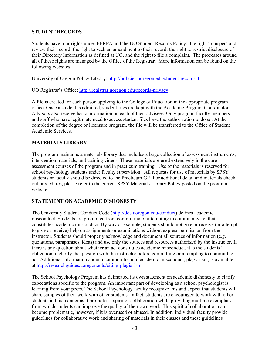# **STUDENT RECORDS**

Students have four rights under FERPA and the UO Student Records Policy: the right to inspect and review their record; the right to seek an amendment to their record; the right to restrict disclosure of their Directory Information as defined at UO, and the right to file a complaint. The processes around all of these rights are managed by the Office of the Registrar. More information can be found on the following websites:

University of Oregon Policy Library:<http://policies.uoregon.edu/student-records-1>

UO Registrar's Office:<http://registrar.uoregon.edu/records-privacy>

A file is created for each person applying to the College of Education in the appropriate program office. Once a student is admitted, student files are kept with the Academic Program Coordinator. Advisors also receive basic information on each of their advisees. Only program faculty members and staff who have legitimate need to access student files have the authorization to do so. At the completion of the degree or licensure program, the file will be transferred to the Office of Student Academic Services.

# **MATERIALS LIBRARY**

The program maintains a materials library that includes a large collection of assessment instruments, intervention materials, and training videos. These materials are used extensively in the core assessment courses of the program and in practicum training. Use of the materials is reserved for school psychology students under faculty supervision. All requests for use of materials by SPSY students or faculty should be directed to the Practicum GE. For additional detail and materials checkout procedures, please refer to the current SPSY Materials Library Policy posted on the program website.

# **STATEMENT ON ACADEMIC DISHONESTY**

The University Student Conduct Code [\(http://dos.uoregon.edu/conduct\)](http://dos.uoregon.edu/conduct) defines academic misconduct. Students are prohibited from committing or attempting to commit any act that constitutes academic misconduct. By way of example, students should not give or receive (or attempt to give or receive) help on assignments or examinations without express permission from the instructor. Students should properly acknowledge and document all sources of information (e.g. quotations, paraphrases, ideas) and use only the sources and resources authorized by the instructor. If there is any question about whether an act constitutes academic misconduct, it is the students' obligation to clarify the question with the instructor before committing or attempting to commit the act. Additional information about a common form of academic misconduct, plagiarism, is available at [http://researchguides.uoregon.edu/citing-plagiarism.](http://researchguides.uoregon.edu/citing-plagiarism)

The School Psychology Program has delineated its own statement on academic dishonesty to clarify expectations specific to the program. An important part of developing as a school psychologist is learning from your peers. The School Psychology faculty recognize this and expect that students will share samples of their work with other students. In fact, students are encouraged to work with other students in this manner as it promotes a spirit of collaboration while providing multiple exemplars from which students can improve the quality of their own work. This spirit of collaboration can become problematic, however, if it is overused or abused. In addition, individual faculty provide guidelines for collaborative work and sharing of materials in their classes and these guidelines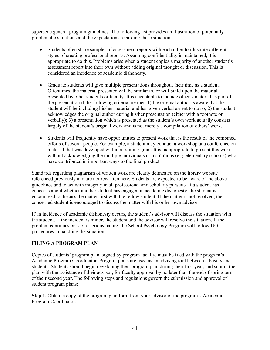supersede general program guidelines. The following list provides an illustration of potentially problematic situations and the expectations regarding these situations.

- Students often share samples of assessment reports with each other to illustrate different styles of creating professional reports. Assuming confidentiality is maintained, it is appropriate to do this. Problems arise when a student copies a majority of another student's assessment report into their own without adding original thought or discussion. This is considered an incidence of academic dishonesty.
- Graduate students will give multiple presentations throughout their time as a student. Oftentimes, the material presented will be similar to, or will build upon the material presented by other students or faculty. It is acceptable to include other's material as part of the presentation if the following criteria are met: 1) the original author is aware that the student will be including his/her material and has given verbal assent to do so; 2) the student acknowledges the original author during his/her presentation (either with a footnote or verbally); 3) a presentation which is presented as the student's own work actually consists largely of the student's original work and is not merely a compilation of others' work.
- Students will frequently have opportunities to present work that is the result of the combined efforts of several people. For example, a student may conduct a workshop at a conference on material that was developed within a training grant. It is inappropriate to present this work without acknowledging the multiple individuals or institutions (e.g. elementary schools) who have contributed in important ways to the final product.

Standards regarding plagiarism of written work are clearly delineated on the library website referenced previously and are not rewritten here. Students are expected to be aware of the above guidelines and to act with integrity in all professional and scholarly pursuits. If a student has concerns about whether another student has engaged in academic dishonesty, the student is encouraged to discuss the matter first with the fellow student. If the matter is not resolved, the concerned student is encouraged to discuss the matter with his or her own advisor.

If an incidence of academic dishonesty occurs, the student's advisor will discuss the situation with the student. If the incident is minor, the student and the advisor will resolve the situation. If the problem continues or is of a serious nature, the School Psychology Program will follow UO procedures in handling the situation.

# **FILING A PROGRAM PLAN**

Copies of students' program plan, signed by program faculty, must be filed with the program's Academic Program Coordinator. Program plans are used as an advising tool between advisors and students. Students should begin developing their program plan during their first year, and submit the plan with the assistance of their advisor, for faculty approval by no later than the end of spring term of their second year. The following steps and regulations govern the submission and approval of student program plans:

**Step 1.** Obtain a copy of the program plan form from your advisor or the program's Academic Program Coordinator.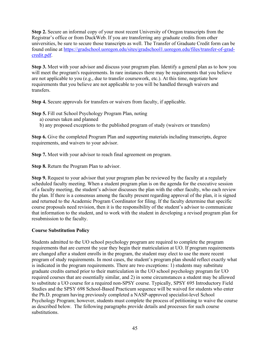**Step 2.** Secure an informal copy of your most recent University of Oregon transcripts from the Registrar's office or from DuckWeb. If you are transferring any graduate credits from other universities, be sure to secure those transcripts as well. The Transfer of Graduate Credit form can be found online at [https://gradschool.uoregon.edu/sites/gradschool1.uoregon.edu/files/transfer-of-grad](https://gradschool.uoregon.edu/sites/gradschool1.uoregon.edu/files/transfer-of-grad-credit.pdf)[credit.pdf.](https://gradschool.uoregon.edu/sites/gradschool1.uoregon.edu/files/transfer-of-grad-credit.pdf)

**Step 3.** Meet with your advisor and discuss your program plan. Identify a general plan as to how you will meet the program's requirements. In rare instances there may be requirements that you believe are not applicable to you (e.g., due to transfer coursework, etc.). At this time, negotiate how requirements that you believe are not applicable to you will be handled through waivers and transfers.

**Step 4.** Secure approvals for transfers or waivers from faculty, if applicable.

**Step 5.** Fill out School Psychology Program Plan, noting

- a) courses taken and planned
- b) any proposed exceptions to the published program of study (waivers or transfers)

**Step 6.** Give the completed Program Plan and supporting materials including transcripts, degree requirements, and waivers to your advisor.

**Step 7.** Meet with your advisor to reach final agreement on program.

**Step 8.** Return the Program Plan to advisor.

**Step 9.** Request to your advisor that your program plan be reviewed by the faculty at a regularly scheduled faculty meeting. When a student program plan is on the agenda for the executive session of a faculty meeting, the student's advisor discusses the plan with the other faculty, who each review the plan. If there is a consensus among the faculty present regarding approval of the plan, it is signed and returned to the Academic Program Coordinator for filing. If the faculty determine that specific course proposals need revision, then it is the responsibility of the student's advisor to communicate that information to the student, and to work with the student in developing a revised program plan for resubmission to the faculty.

# **Course Substitution Policy**

Students admitted to the UO school psychology program are required to complete the program requirements that are current the year they begin their matriculation at UO. If program requirements are changed after a student enrolls in the program, the student may elect to use the more recent program of study requirements. In most cases, the student's program plan should reflect exactly what is indicated in the program requirements. There are two exceptions: 1) students may substitute graduate credits earned prior to their matriculation in the UO school psychology program for UO required courses that are essentially similar, and 2) in some circumstances a student may be allowed to substitute a UO course for a required non-SPSY course. Typically, SPSY 695 Introductory Field Studies and the SPSY 698 School-Based Practicum sequence will be waived for students who enter the Ph.D. program having previously completed a NASP-approved specialist-level School Psychology Program; however, students must complete the process of petitioning to waive the course as described below. The following paragraphs provide details and processes for such course substitutions.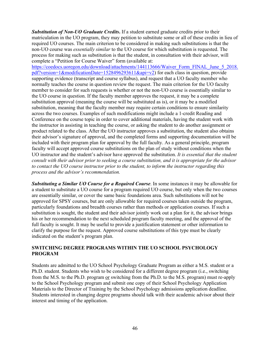*Substitution of Non-UO Graduate Credits***.** If a student earned graduate credits prior to their matriculation in the UO program, they may petition to substitute some or all of these credits in lieu of required UO courses. The main criterion to be considered in making such substitutions is that the non-UO course was *essentially similar* to the UO course for which substitution is requested. The process for making such as substitution is that the student, in consultation with their advisor, will complete a "Petition for Course Waiver" form (available at:

[https://coedocs.uoregon.edu/download/attachments/144113666/Waiver\\_Form\\_FINAL\\_June\\_5\\_2018.](https://coedocs.uoregon.edu/download/attachments/144113666/Waiver_Form_FINAL_June_5_2018.pdf?version=1&modificationDate=1528496293611&api=v2) [pdf?version=1&modificationDate=1528496293611&api=v2\)](https://coedocs.uoregon.edu/download/attachments/144113666/Waiver_Form_FINAL_June_5_2018.pdf?version=1&modificationDate=1528496293611&api=v2) for each class in question, provide supporting evidence (transcript and course syllabus), and request that a UO faculty member who normally teaches the course in question review the request. The main criterion for the UO faculty member to consider for such requests is whether or not the non-UO course is essentially similar to the UO course in question. If the faculty member approves the request, it may be a complete substitution approval (meaning the course will be substituted as is), or it may be a modified substitution, meaning that the faculty member may require certain conditions to ensure similarity across the two courses. Examples of such modifications might include a 1-credit Reading and Conference on the course topic in order to cover additional materials, having the student work with the instructor in assisting in teaching the course, or asking the student to do another assignment or product related to the class. After the UO instructor approves a substitution, the student also obtains their advisor's signature of approval, and the completed forms and supporting documentation will be included with their program plan for approval by the full faculty. As a general principle, program faculty will accept approved course substitutions on the plan of study without conditions when the UO instructor and the student's advisor have approved the substitution. *It is essential that the student consult with their advisor prior to seeking a course substitution, and it is appropriate for the advisor to contact the UO course instructor prior to the student, to inform the instructor regarding this process and the advisor's recommendation.*

*Substituting a Similar UO Course for a Required Course*. In some instances it may be allowable for a student to substitute a UO course for a program required UO course, but only when the two courses are essentially similar, or cover the same basic foundations area. Such substitutions will not be approved for SPSY courses, but are only allowable for required courses taken outside the program, particularly foundations and breadth courses rather than methods or application courses. If such a substitution is sought, the student and their advisor jointly work out a plan for it, the advisor brings his or her recommendation to the next scheduled program faculty meeting, and the approval of the full faculty is sought. It may be useful to provide a justification statement or other information to clarify the purpose for the request. Approved course substitutions of this type must be clearly indicated on the student's program plan.

# **SWITCHING DEGREE PROGRAMS WITHIN THE UO SCHOOL PSYCHOLOGY PROGRAM**

Students are admitted to the UO School Psychology Graduate Program as either a M.S. student or a Ph.D. student. Students who wish to be considered for a different degree program (i.e., switching from the M.S. to the Ph.D. program or switching from the Ph.D. to the M.S. program) must re-apply to the School Psychology program and submit one copy of their School Psychology Application Materials to the Director of Training by the School Psychology admissions application deadline. Students interested in changing degree programs should talk with their academic advisor about their interest and timing of the application.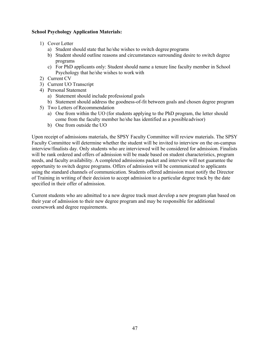# **School Psychology Application Materials:**

- 1) Cover Letter
	- a) Student should state that he/she wishes to switch degree programs
	- b) Student should outline reasons and circumstances surrounding desire to switch degree programs
	- c) For PhD applicants only: Student should name a tenure line faculty member in School Psychology that he/she wishes to work with
- 2) Current CV
- 3) Current UO Transcript
- 4) Personal Statement
	- a) Statement should include professional goals
	- b) Statement should address the goodness-of-fit between goals and chosen degree program
- 5) Two Letters of Recommendation
	- a) One from within the UO (for students applying to the PhD program, the letter should come from the faculty member he/she has identified as a possibleadvisor)
	- b) One from outside the UO

Upon receipt of admissions materials, the SPSY Faculty Committee will review materials. The SPSY Faculty Committee will determine whether the student will be invited to interview on the on-campus interview/finalists day. Only students who are interviewed will be considered for admission. Finalists will be rank ordered and offers of admission will be made based on student characteristics, program needs, and faculty availability. A completed admissions packet and interview will not guarantee the opportunity to switch degree programs. Offers of admission will be communicated to applicants using the standard channels of communication. Students offered admission must notify the Director of Training in writing of their decision to accept admission to a particular degree track by the date specified in their offer of admission.

Current students who are admitted to a new degree track must develop a new program plan based on their year of admission to their new degree program and may be responsible for additional coursework and degree requirements.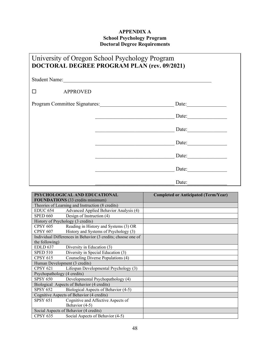# **APPENDIX A School Psychology Program Doctoral Degree Requirements**

| University of Oregon School Psychology Program<br><b>DOCTORAL DEGREE PROGRAM PLAN (rev. 09/2021)</b> |                               |  |
|------------------------------------------------------------------------------------------------------|-------------------------------|--|
|                                                                                                      | Student Name:                 |  |
| <b>APPROVED</b>                                                                                      |                               |  |
|                                                                                                      | Program Committee Signatures: |  |
|                                                                                                      | Date:                         |  |
|                                                                                                      | Date: $\qquad \qquad$         |  |
|                                                                                                      | Date:                         |  |
|                                                                                                      | Date:                         |  |
|                                                                                                      | Date:                         |  |
|                                                                                                      | Date:                         |  |

|                                         | PSYCHOLOGICAL AND EDUCATIONAL                                | <b>Completed or Anticipated (Term/Year)</b> |
|-----------------------------------------|--------------------------------------------------------------|---------------------------------------------|
| <b>FOUNDATIONS</b> (33 credits minimum) |                                                              |                                             |
|                                         | Theories of Learning and Instruction (8 credits)             |                                             |
| EDUC <sub>654</sub>                     | Advanced Applied Behavior Analysis (4)                       |                                             |
| <b>SPED 660</b>                         | Design of Instruction (4)                                    |                                             |
|                                         | History of Psychology (3 credits)                            |                                             |
| <b>CPSY 605</b>                         | Reading in History and Systems (3) OR                        |                                             |
| <b>CPSY 607</b>                         | History and Systems of Psychology (3)                        |                                             |
|                                         | Individual Differences in Behavior (3 credits; choose one of |                                             |
| the following)                          |                                                              |                                             |
| <b>EDLD 637</b>                         | Diversity in Education (3)                                   |                                             |
| <b>SPED 510</b>                         | Diversity in Special Education (3)                           |                                             |
| <b>CPSY 615</b>                         | Counseling Diverse Populations (4)                           |                                             |
|                                         | Human Development (3 credits)                                |                                             |
| <b>CPSY 621</b>                         | Lifespan Developmental Psychology (3)                        |                                             |
| Psychopathology (4 credits)             |                                                              |                                             |
| <b>SPSY 650</b>                         | Developmental Psychopathology (4)                            |                                             |
|                                         | Biological Aspects of Behavior (4 credits)                   |                                             |
| <b>SPSY 652</b>                         | Biological Aspects of Behavior (4-5)                         |                                             |
|                                         | Cognitive Aspects of Behavior (4 credits)                    |                                             |
| <b>SPSY 651</b>                         | Cognitive and Affective Aspects of                           |                                             |
|                                         | Behavior (4-5)                                               |                                             |
|                                         | Social Aspects of Behavior (4 credits)                       |                                             |
| <b>CPSY 635</b>                         | Social Aspects of Behavior (4-5)                             |                                             |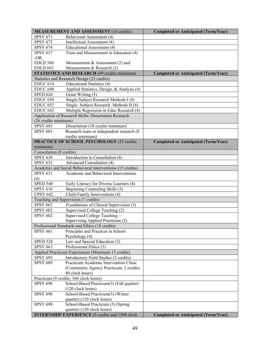|                          | <b>MEASUREMENT AND ASSESSMENT (16 credits)</b>             | <b>Completed or Anticipated (Term/Year)</b> |
|--------------------------|------------------------------------------------------------|---------------------------------------------|
| <b>SPSY 671</b>          | Behavioral Assessment (4)                                  |                                             |
| <b>SPSY 672</b>          | Intellectual Assessment (4)                                |                                             |
| <b>SPSY 674</b>          | Educational Assessment (4)                                 |                                             |
| <b>SPSY 617</b>          | Tests and Measurement in Education (4)                     |                                             |
| $-OR$                    |                                                            |                                             |
| <b>EDLD 560</b>          | Measurement $&$ Assessment (2) and                         |                                             |
| <b>EDLD 663</b>          | Measurement & Research (2)                                 |                                             |
|                          | <b>STATISTICS AND RESEARCH (49 credits minimum)</b>        | <b>Completed or Anticipated (Term/Year)</b> |
|                          | Statistics and Research Design (23 credits)                |                                             |
| <b>EDUC 614</b>          | Educational Statistics (4)                                 |                                             |
| <b>EDUC 640</b>          | Applied Statistics, Design, & Analysis (4)                 |                                             |
| <b>SPED 626</b>          | Grant Writing (3)                                          |                                             |
| <b>EDUC 650</b>          | Single-Subject Research Methods I (4)                      |                                             |
| <b>EDUC 652</b>          | Single- Subject Research. Methods II (4)                   |                                             |
| <b>EDUC 642</b>          | Multiple Regression in Educ Research (4)                   |                                             |
|                          | Application of Research Skills: Dissertation Research      |                                             |
| (26 credits minimum)     |                                                            |                                             |
| <b>SPSY 603</b>          | Dissertation (18 credits minimum)                          |                                             |
| <b>SPSY 601</b>          | Research team or independent research (8                   |                                             |
|                          | credits minimum)                                           |                                             |
|                          | PRACTICE OF SCHOOL PSYCHOLOGY (53 credits                  | <b>Completed or Anticipated (Term/Year)</b> |
| minimum)                 |                                                            |                                             |
| Consultation (8 credits) |                                                            |                                             |
| <b>SPSY 630</b>          | Introduction to Consultation (4)                           |                                             |
| <b>SPSY 632</b>          | <b>Advanced Consultation (4)</b>                           |                                             |
|                          | Academic and Social Behavioral Interventions (15 credits)  |                                             |
| <b>SPSY 631</b>          | Academic and Behavioral Interventions                      |                                             |
| (4)                      |                                                            |                                             |
| <b>SPED 540</b>          | Early Literacy for Diverse Learners (4)                    |                                             |
| <b>SPSY 610</b>          | Beginning Counseling Skills (3)                            |                                             |
| <b>CPSY 642</b>          | Child-Family Interventions (4)                             |                                             |
|                          | Teaching and Supervision (7 credits)                       |                                             |
| <b>SPSY 662</b>          | Foundations of Clinical Supervision (3)                    |                                             |
| <b>SPSY 602</b>          | Supervised College Teaching (2)                            |                                             |
| <b>SPSY 602</b>          | Supervised College Teaching-                               |                                             |
|                          | Supervising Applied Practicum (2)                          |                                             |
|                          | Professional Standards and Ethics (10 credits)             |                                             |
| <b>SPSY 661</b>          | Principles and Practices in School                         |                                             |
|                          | Psychology (4)                                             |                                             |
| <b>SPED 528</b>          | Law and Special Education (3)                              |                                             |
| <b>SPSY 663</b>          | Professional Ethics (3)                                    |                                             |
|                          | Applied Practicum Experiences (Minimum 13 credits)         |                                             |
| <b>SPSY 695</b>          | Introductory Field Studies (2 credits)                     |                                             |
| <b>SPSY 609</b>          | Practicum Academic Intervention Clinic                     |                                             |
|                          | (Community Agency Practicum; 2 credits;<br>80 clock hours) |                                             |
|                          | Practicum (9 credits; 360 clock hours)                     |                                             |
| <b>SPSY 698</b>          | School-Based Practicum(3) (Fall quarter)                   |                                             |
|                          | (120 clock hours)                                          |                                             |
| <b>SPSY 698</b>          | School-Based Practicum(3) (Winter                          |                                             |
|                          | quarter) (120 clock hours)                                 |                                             |
| <b>SPSY 698</b>          | School-Based Practicum (3) (Spring                         |                                             |
|                          | quarter) (120 clock hours)                                 |                                             |
|                          | <b>INTERNSHIP EXPERIENCE (9 credits and 1500 clock</b>     | <b>Completed or Anticipated (Term/Year)</b> |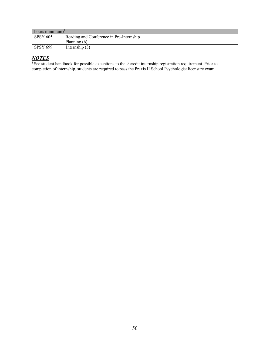| hours minimum) <sup>1</sup> |                                          |  |
|-----------------------------|------------------------------------------|--|
| <b>SPSY 605</b>             | Reading and Conference in Pre-Internship |  |
|                             | Planning $(6)$                           |  |
| <b>SPSY 699</b>             | Internship $(3)$                         |  |

# *NOTES*

<sup>1</sup> See student handbook for possible exceptions to the 9 credit internship registration requirement. Prior to completion of internship, students are required to pass the Praxis II School Psychologist licensure exam.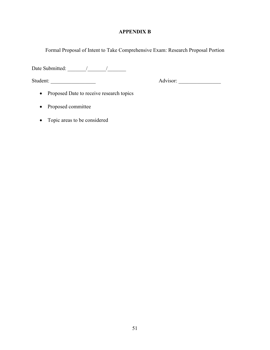# **APPENDIX B**

Formal Proposal of Intent to Take Comprehensive Exam: Research Proposal Portion

Date Submitted: \_\_\_\_\_\_\_/\_\_\_\_\_\_\_/\_\_\_\_\_\_\_

Student: \_\_\_\_\_\_\_\_\_\_\_\_\_\_\_\_\_ Advisor: \_\_\_\_\_\_\_\_\_\_\_\_\_\_\_\_

- Proposed Date to receive research topics
- Proposed committee
- Topic areas to be considered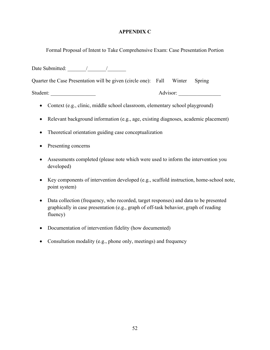# **APPENDIX C**

Formal Proposal of Intent to Take Comprehensive Exam: Case Presentation Portion

Date Submitted:  $\qquad$  / Quarter the Case Presentation will be given (circle one): Fall Winter Spring Student: Advisor:

- Context (e.g., clinic, middle school classroom, elementary school playground)
- Relevant background information (e.g., age, existing diagnoses, academic placement)
- Theoretical orientation guiding case conceptualization
- Presenting concerns
- Assessments completed (please note which were used to inform the intervention you developed)
- Key components of intervention developed (e.g., scaffold instruction, home-school note, point system)
- Data collection (frequency, who recorded, target responses) and data to be presented graphically in case presentation (e.g., graph of off-task behavior, graph of reading fluency)
- Documentation of intervention fidelity (how documented)
- Consultation modality (e.g., phone only, meetings) and frequency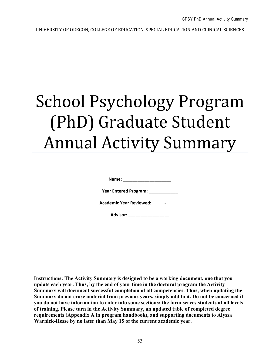UNIVERSITY OF OREGON, COLLEGE OF EDUCATION, SPECIAL EDUCATION AND CLINICAL SCIENCES

# School Psychology Program (PhD) Graduate Student Annual Activity Summary

**Name: \_\_\_\_\_\_\_\_\_\_\_\_\_\_\_\_\_\_\_\_**

**Year Entered Program: \_\_\_\_\_\_\_\_\_\_\_\_**

**Academic Year Reviewed: \_\_\_\_\_-\_\_\_\_\_\_**

**Advisor: \_\_\_\_\_\_\_\_\_\_\_\_\_\_\_\_\_**

**Instructions: The Activity Summary is designed to be a working document, one that you update each year. Thus, by the end of your time in the doctoral program the Activity Summary will document successful completion of all competencies. Thus, when updating the Summary do not erase material from previous years, simply add to it. Do not be concerned if you do not have information to enter into some sections; the form serves students at all levels of training. Please turn in the Activity Summary, an updated table of completed degree requirements (Appendix A in program handbook), and supporting documents to Alyssa Warnick-Hesse by no later than May 15 of the current academic year.**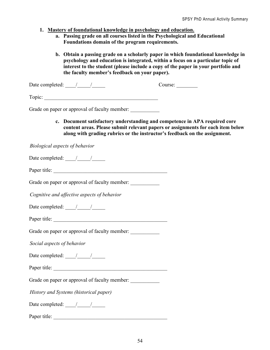- **1. Mastery of foundational knowledge in psychology and education.**
	- **a. Passing grade on all courses listed in the Psychological and Educational Foundations domain of the program requirements.**
	- **b. Obtain a passing grade on a scholarly paper in which foundational knowledge in psychology and education is integrated, within a focus on a particular topic of interest to the student (please include a copy of the paper in your portfolio and the faculty member's feedback on your paper).**

Date completed:  $\frac{1}{2}$  /  $\frac{1}{2}$  Course:

Grade on paper or approval of faculty member:

**c. Document satisfactory understanding and competence in APA required core content areas. Please submit relevant papers or assignments for each item below along with grading rubrics or the instructor's feedback on the assignment.**

*Biological aspects of behavior*

Date completed:  $\frac{1}{2}$  /

Paper title:

Grade on paper or approval of faculty member:

*Cognitive and affective aspects of behavior*

Date completed:  $\frac{1}{\sqrt{2\pi}}$ 

Paper title: \_\_\_\_\_\_\_\_\_\_\_\_\_\_\_\_\_\_\_\_\_\_\_\_\_\_\_\_\_\_\_\_\_\_\_\_\_\_\_\_\_\_\_

Grade on paper or approval of faculty member:

*Social aspects of behavior*

Date completed:  $\frac{1}{2}$ 

Paper title: \_\_\_\_\_\_\_\_\_\_\_\_\_\_\_\_\_\_\_\_\_\_\_\_\_\_\_\_\_\_\_\_\_\_\_\_\_\_\_\_\_\_\_

Grade on paper or approval of faculty member:

*History and Systems (historical paper)*

Date completed:  $\frac{1}{2}$  /

Paper title: \_\_\_\_\_\_\_\_\_\_\_\_\_\_\_\_\_\_\_\_\_\_\_\_\_\_\_\_\_\_\_\_\_\_\_\_\_\_\_\_\_\_\_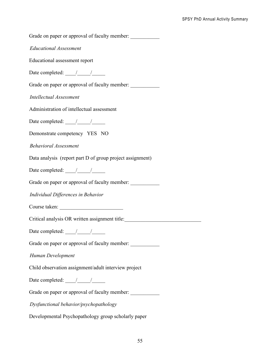Grade on paper or approval of faculty member:

*Educational Assessment*

Educational assessment report

Date completed:  $\frac{1}{2}$ 

Grade on paper or approval of faculty member: \_\_\_\_\_\_\_\_\_\_\_\_\_\_\_\_\_\_\_\_\_\_\_\_\_\_\_\_\_\_\_\_\_\_\_

*Intellectual Assessment*

Administration of intellectual assessment

Date completed:  $\frac{1}{\sqrt{2\pi}}$ 

Demonstrate competency YES NO

*Behavioral Assessment*

Data analysis (report part D of group project assignment)

Date completed: <u>\_\_\_\_\_/\_\_\_\_\_\_</u>

Grade on paper or approval of faculty member:

*Individual Differences in Behavior*

Course taken:

Critical analysis OR written assignment title:

Date completed: <u>\_\_\_\_/\_\_\_\_\_/</u>

Grade on paper or approval of faculty member: \_\_\_\_\_\_\_\_\_\_\_\_\_\_\_\_\_\_\_\_\_\_\_\_\_\_\_\_\_\_\_\_\_\_\_

*Human Development*

Child observation assignment/adult interview project

Date completed:  $\frac{1}{2}$ 

Grade on paper or approval of faculty member:

*Dysfunctional behavior/psychopathology*

Developmental Psychopathology group scholarly paper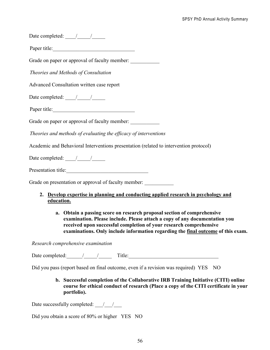| Date completed: $\frac{1}{\sqrt{1-\frac{1}{2}}}$                                                 |  |  |  |  |
|--------------------------------------------------------------------------------------------------|--|--|--|--|
| Paper title:                                                                                     |  |  |  |  |
| Grade on paper or approval of faculty member:                                                    |  |  |  |  |
| Theories and Methods of Consultation                                                             |  |  |  |  |
| Advanced Consultation written case report                                                        |  |  |  |  |
| Date completed: $\frac{1}{\sqrt{1-\frac{1}{2}}}$                                                 |  |  |  |  |
| Paper title:                                                                                     |  |  |  |  |
| Grade on paper or approval of faculty member:                                                    |  |  |  |  |
| Theories and methods of evaluating the efficacy of interventions                                 |  |  |  |  |
| Academic and Behavioral Interventions presentation (related to intervention protocol)            |  |  |  |  |
| Date completed: $\frac{1}{\sqrt{2\pi}}$                                                          |  |  |  |  |
| Presentation title:                                                                              |  |  |  |  |
| Grade on presentation or approval of faculty member:                                             |  |  |  |  |
| 2. Develop expertise in planning and conducting applied research in psychology and<br>education. |  |  |  |  |

**a. Obtain a passing score on research proposal section of comprehensive examination. Please include. Please attach a copy of any documentation you received upon successful completion of your research comprehensive examinations. Only include information regarding the final outcome of this exam.**

*Research comprehensive examination*

Date completed:  $\frac{1}{2}$  Title: Title:

Did you pass (report based on final outcome, even if a revision was required) YES NO

**b. Successful completion of the Collaborative IRB Training Initiative (CITI) online course for ethical conduct of research (Place a copy of the CITI certificate in your portfolio).**

Date successfully completed:  $\frac{1}{2}$ 

Did you obtain a score of 80% or higher YES NO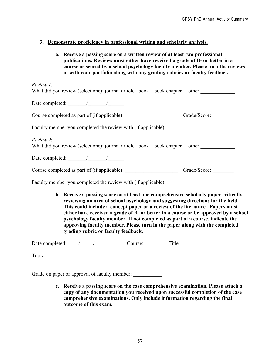# **3. Demonstrate proficiency in professional writing and scholarly analysis.**

**a. Receive a passing score on a written review of at least two professional publications. Reviews must either have received a grade of B- or better in a course or scored by a school psychology faculty member. Please turn the reviews in with your portfolio along with any grading rubrics or faculty feedback.** 

| Review 1:                                                                                                                                                                                                                                                                                                                                                                                                                                                                                                                                             |
|-------------------------------------------------------------------------------------------------------------------------------------------------------------------------------------------------------------------------------------------------------------------------------------------------------------------------------------------------------------------------------------------------------------------------------------------------------------------------------------------------------------------------------------------------------|
| What did you review (select one): journal article book book chapter other                                                                                                                                                                                                                                                                                                                                                                                                                                                                             |
| Date completed: $\frac{1}{\sqrt{1-\frac{1}{2}} \cdot \frac{1}{\sqrt{1-\frac{1}{2}} \cdot \frac{1}{\sqrt{1-\frac{1}{2}} \cdot \frac{1}{\sqrt{1-\frac{1}{2}} \cdot \frac{1}{\sqrt{1-\frac{1}{2}} \cdot \frac{1}{\sqrt{1-\frac{1}{2}} \cdot \frac{1}{\sqrt{1-\frac{1}{2}} \cdot \frac{1}{\sqrt{1-\frac{1}{2}} \cdot \frac{1}{\sqrt{1-\frac{1}{2}} \cdot \frac{1}{\sqrt{1-\frac{1}{2}} \cdot \frac{1}{\sqrt{1-\frac{1}{2}} \cdot \frac{1}{\$                                                                                                              |
| Course completed as part of (if applicable): Course Crade/Score: Canade/Score:                                                                                                                                                                                                                                                                                                                                                                                                                                                                        |
| Faculty member you completed the review with (if applicable): __________________                                                                                                                                                                                                                                                                                                                                                                                                                                                                      |
| Review 2:<br>What did you review (select one): journal article book book chapter other                                                                                                                                                                                                                                                                                                                                                                                                                                                                |
| Date completed: $\frac{1}{\sqrt{1-\frac{1}{2}}}\frac{1}{\sqrt{1-\frac{1}{2}}}\frac{1}{\sqrt{1-\frac{1}{2}}}\frac{1}{\sqrt{1-\frac{1}{2}}}\frac{1}{\sqrt{1-\frac{1}{2}}}\frac{1}{\sqrt{1-\frac{1}{2}}}\frac{1}{\sqrt{1-\frac{1}{2}}}\frac{1}{\sqrt{1-\frac{1}{2}}}\frac{1}{\sqrt{1-\frac{1}{2}}}\frac{1}{\sqrt{1-\frac{1}{2}}}\frac{1}{\sqrt{1-\frac{1}{2}}}\frac{1}{\sqrt{1-\frac{1}{2}}}\frac{1}{\sqrt{1-\frac{$                                                                                                                                     |
| Course completed as part of (if applicable): Grade/Score: Grade/Score:                                                                                                                                                                                                                                                                                                                                                                                                                                                                                |
| Faculty member you completed the review with (if applicable): __________________                                                                                                                                                                                                                                                                                                                                                                                                                                                                      |
| b. Receive a passing score on at least one comprehensive scholarly paper critically<br>reviewing an area of school psychology and suggesting directions for the field.<br>This could include a concept paper or a review of the literature. Papers must<br>either have received a grade of B- or better in a course or be approved by a school<br>psychology faculty member. If not completed as part of a course, indicate the<br>approving faculty member. Please turn in the paper along with the completed<br>grading rubric or faculty feedback. |

| Date completed: | Course: | Title: |
|-----------------|---------|--------|
| Topic:          |         |        |
|                 |         |        |

Grade on paper or approval of faculty member:

**c. Receive a passing score on the case comprehensive examination. Please attach a copy of any documentation you received upon successful completion of the case comprehensive examinations. Only include information regarding the final outcome of this exam.**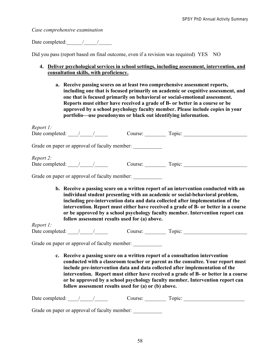*Case comprehensive examination*

Date completed:  $\frac{1}{2}$  /

Did you pass (report based on final outcome, even if a revision was required) YES NO

# **4. Deliver psychological services in school settings, including assessment, intervention, and consultation skills, with proficiency.**

**a. Receive passing scores on at least two comprehensive assessment reports, including one that is focused primarily on academic or cognitive assessment, and one that is focused primarily on behavioral or social-emotional assessment. Reports must either have received a grade of B- or better in a course or be approved by a school psychology faculty member. Please include copies in your portfolio—use pseudonyms or black out identifying information.** 

| Report 1:                                                                       |                                                                                  |                                                                                                                                                                                                                                                                                                                                                                                                                              |
|---------------------------------------------------------------------------------|----------------------------------------------------------------------------------|------------------------------------------------------------------------------------------------------------------------------------------------------------------------------------------------------------------------------------------------------------------------------------------------------------------------------------------------------------------------------------------------------------------------------|
| Date completed: $\frac{1}{\sqrt{1-\frac{1}{2}}}\frac{1}{\sqrt{1-\frac{1}{2}}}}$ |                                                                                  |                                                                                                                                                                                                                                                                                                                                                                                                                              |
|                                                                                 | Grade on paper or approval of faculty member: __________________________________ |                                                                                                                                                                                                                                                                                                                                                                                                                              |
| Report 2:                                                                       |                                                                                  |                                                                                                                                                                                                                                                                                                                                                                                                                              |
|                                                                                 |                                                                                  | Date completed: ///// Course: Topic: Topic:                                                                                                                                                                                                                                                                                                                                                                                  |
|                                                                                 | Grade on paper or approval of faculty member:                                    |                                                                                                                                                                                                                                                                                                                                                                                                                              |
| Report 1:                                                                       | follow assessment results used for (a) above.                                    | b. Receive a passing score on a written report of an intervention conducted with an<br>individual student presenting with an academic or social-behavioral problem,<br>including pre-intervention data and data collected after implementation of the<br>intervention. Report must either have received a grade of B- or better in a course<br>or be approved by a school psychology faculty member. Intervention report can |
|                                                                                 |                                                                                  | Date completed: ///// Course: Topic: Topic:                                                                                                                                                                                                                                                                                                                                                                                  |
|                                                                                 | Grade on paper or approval of faculty member:                                    |                                                                                                                                                                                                                                                                                                                                                                                                                              |
|                                                                                 |                                                                                  | c. Receive a passing score on a written report of a consultation intervention<br>conducted with a classroom teacher or parent as the consultee. Your report must<br>include pre-intervention data and data collected after implementation of the<br>intervention. Report must either have received a grade of B- or better in a course<br>or be approved by a school psychology faculty member. Intervention report can      |

| Date completed: /                             | Course: | Topic: |  |
|-----------------------------------------------|---------|--------|--|
| Grade on paper or approval of faculty member: |         |        |  |

**follow assessment results used for (a) or (b) above.**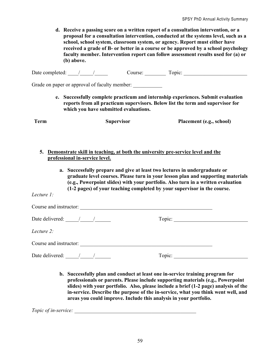**d. Receive a passing score on a written report of a consultation intervention, or a proposal for a consultation intervention, conducted at the systems level, such as a school, school system, classroom system, or agency. Report must either have received a grade of B- or better in a course or be approved by a school psychology faculty member. Intervention report can follow assessment results used for (a) or (b) above.** 

Date completed:  $\frac{1}{2}$  /  $\frac{1}{2}$  Course: Topic: Topic:

Grade on paper or approval of faculty member:

**e. Successfully complete practicum and internship experiences. Submit evaluation reports from all practicum supervisors. Below list the term and supervisor for which you have submitted evaluations.**

**5. Demonstrate skill in teaching, at both the university pre-service level and the professional in-service level.**

**Term Supervisor Placement (e.g., school)**

**a. Successfully prepare and give at least two lectures in undergraduate or graduate level courses. Please turn in your lesson plan and supporting materials (e.g., Powerpoint slides) with your portfolio. Also turn in a written evaluation (1-2 pages) of your teaching completed by your supervisor in the course.** 

*Lecture 1:* 

| Course and instructor:               |        |
|--------------------------------------|--------|
| Date delivered: $\frac{1}{\sqrt{2}}$ | Topic: |
| Lecture 2:                           |        |
| Course and instructor:               |        |
| Date delivered: / /                  | Topic: |

**b. Successfully plan and conduct at least one in-service training program for professionals or parents. Please include supporting materials (e.g., Powerpoint slides) with your portfolio. Also, please include a brief (1-2 page) analysis of the in-service. Describe the purpose of the in-service, what you think went well, and areas you could improve. Include this analysis in your portfolio.**

*Topic of in-service:*  $\blacksquare$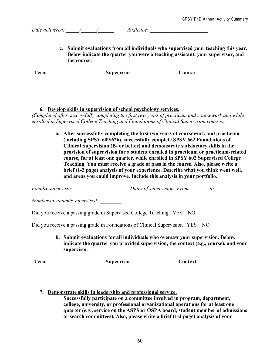*Date delivered: \_\_\_\_\_/\_\_\_\_\_\_/\_\_\_\_\_\_ Audience: \_\_\_\_\_\_\_\_\_\_\_\_\_\_\_\_\_\_\_\_\_\_*

**c. Submit evaluations from all individuals who supervised your teaching this year. Below indicate the quarter you were a teaching assistant, your supervisor, and the course.**

**Term Supervisor Course**

# **6. Develop skills in supervision of school psychology services.**

*(Completed after successfully completing the first two years of practicum and coursework and while enrolled in Supervised College Teaching and Foundations of Clinical Supervision courses).*

> **a. After successfully completing the first two years of coursework and practicum (including SPSY 609/626), successfully complete SPSY 662 Foundations of Clinical Supervision (B- or better) and demonstrate satisfactory skills in the provision of supervision for a student enrolled in practicum or practicum-related course, for at least one quarter, while enrolled in SPSY 602 Supervised College Teaching. You must receive a grade of pass in the course. Also, please write a brief (1-2 page) analysis of your experience. Describe what you think went well, and areas you could improve. Include this analysis in your portfolio.**

*Faculty supervisor:*  $\qquad \qquad$  *Dates of supervision: From to \_\_\_\_\_\_\_\_\_\_\_\_\_\_\_\_\_\_\_.* 

*Number of students supervised: \_\_\_\_\_\_\_\_*

Did you receive a passing grade in Supervised College Teaching YES NO

Did you receive a passing grade in Foundations of Clinical Supervision YES NO

**b. Submit evaluations for all individuals who oversaw your supervision. Below, indicate the quarter you provided supervision, the context (e.g., course), and your supervisor.**

**Term Supervisor Context**

**7. Demonstrate skills in leadership and professional service.**

**Successfully participate on a committee involved in program, department, college, university, or professional organizational operations for at least one quarter (e.g., service on the ASPS or OSPA board, student member of admissions or search committees). Also, please write a brief (1-2 page) analysis of your**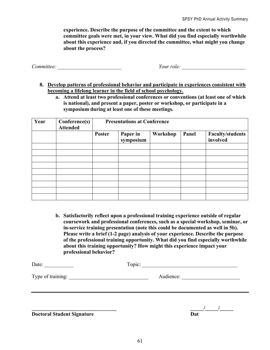**experience. Describe the purpose of the committee and the extent to which committee goals were met, in your view. What did you find especially worthwhile about this experience and, if you directed the committee, what might you change about the process?** 

*Committee: \_\_\_\_\_\_\_\_\_\_\_\_\_\_\_\_\_\_\_\_\_\_\_\_ Your role: \_\_\_\_\_\_\_\_\_\_\_\_\_\_\_\_\_\_\_\_\_\_\_\_*

- **8. Develop patterns of professional behavior and participate in experiences consistent with becoming a lifelong learner in the field of school psychology.**
	- **a. Attend at least two professional conferences or conventions (at least one of which is national), and present a paper, poster or workshop, or participate in a symposium during at least one of these meetings.**

| Year | Conference(s)<br><b>Attended</b> | <b>Presentations at Conference</b> |                       |          |       |                                     |
|------|----------------------------------|------------------------------------|-----------------------|----------|-------|-------------------------------------|
|      |                                  | Poster                             | Paper in<br>symposium | Workshop | Panel | <b>Faculty/students</b><br>involved |
|      |                                  |                                    |                       |          |       |                                     |
|      |                                  |                                    |                       |          |       |                                     |
|      |                                  |                                    |                       |          |       |                                     |
|      |                                  |                                    |                       |          |       |                                     |
|      |                                  |                                    |                       |          |       |                                     |
|      |                                  |                                    |                       |          |       |                                     |
|      |                                  |                                    |                       |          |       |                                     |
|      |                                  |                                    |                       |          |       |                                     |

**b. Satisfactorily reflect upon a professional training experience outside of regular coursework and professional conferences, such as a special workshop, seminar, or in-service training presentation (note this could be documented as well in 5b). Please write a brief (1-2 page) analysis of your experience. Describe the purpose of the professional training opportunity. What did you find especially worthwhile about this training opportunity? How might this experience impact your professional behavior?**

| Date:             | Topic: |           |  |  |
|-------------------|--------|-----------|--|--|
| Type of training: |        | Audience: |  |  |
|                   |        |           |  |  |
|                   |        |           |  |  |

**Doctoral Student Signature** 

**\_\_\_\_\_\_\_\_\_\_\_\_\_\_\_\_\_\_\_\_\_\_\_\_\_\_\_\_\_\_\_\_ \_\_\_\_\_/\_\_\_\_\_/\_\_\_\_\_**